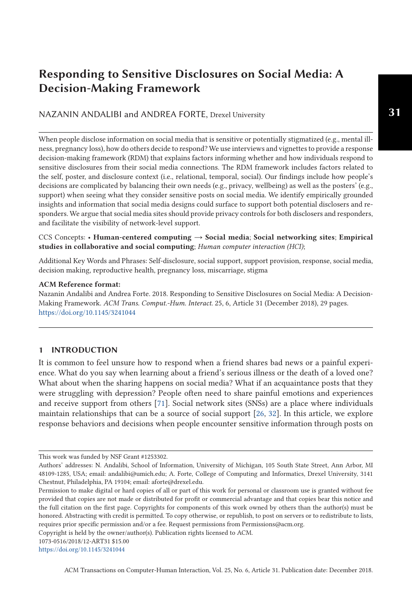# **Responding to Sensitive Disclosures on Social Media: A Decision-Making Framework**

NAZANIN ANDALIBI and ANDREA FORTE, Drexel University

When people disclose information on social media that is sensitive or potentially stigmatized (e.g., mental illness, pregnancy loss), how do others decide to respond? We use interviews and vignettes to provide a response decision-making framework (RDM) that explains factors informing whether and how individuals respond to sensitive disclosures from their social media connections. The RDM framework includes factors related to the self, poster, and disclosure context (i.e., relational, temporal, social). Our findings include how people's decisions are complicated by balancing their own needs (e.g., privacy, wellbeing) as well as the posters' (e.g., support) when seeing what they consider sensitive posts on social media. We identify empirically grounded insights and information that social media designs could surface to support both potential disclosers and responders. We argue that social media sites should provide privacy controls for both disclosers and responders, and facilitate the visibility of network-level support.

CCS Concepts: • **Human-centered computing** → **Social media**; **Social networking sites**; **Empirical studies in collaborative and social computing**; *Human computer interaction (HCI)*;

Additional Key Words and Phrases: Self-disclosure, social support, support provision, response, social media, decision making, reproductive health, pregnancy loss, miscarriage, stigma

### **ACM Reference format:**

Nazanin Andalibi and Andrea Forte. 2018. Responding to Sensitive Disclosures on Social Media: A Decision-Making Framework. *ACM Trans. Comput.-Hum. Interact.* 25, 6, Article 31 (December 2018), 29 pages. <https://doi.org/10.1145/3241044>

### **1 INTRODUCTION**

It is common to feel unsure how to respond when a friend shares bad news or a painful experience. What do you say when learning about a friend's serious illness or the death of a loved one? What about when the sharing happens on social media? What if an acquaintance posts that they were struggling with depression? People often need to share painful emotions and experiences and receive support from others [\[71\]](#page-27-0). Social network sites (SNSs) are a place where individuals maintain relationships that can be a source of social support [\[26,](#page-25-0) [32\]](#page-25-0). In this article, we explore response behaviors and decisions when people encounter sensitive information through posts on

Copyright is held by the owner/author(s). Publication rights licensed to ACM.

1073-0516/2018/12-ART31 \$15.00

<https://doi.org/10.1145/3241044>

ACM Transactions on Computer-Human Interaction, Vol. 25, No. 6, Article 31. Publication date: December 2018.

This work was funded by NSF Grant #1253302.

Authors' addresses: N. Andalibi, School of Information, University of Michigan, 105 South State Street, Ann Arbor, MI 48109-1285, USA; email: andalibi@umich.edu; A. Forte, College of Computing and Informatics, Drexel University, 3141 Chestnut, Philadelphia, PA 19104; email: aforte@drexel.edu.

Permission to make digital or hard copies of all or part of this work for personal or classroom use is granted without fee provided that copies are not made or distributed for profit or commercial advantage and that copies bear this notice and the full citation on the first page. Copyrights for components of this work owned by others than the author(s) must be honored. Abstracting with credit is permitted. To copy otherwise, or republish, to post on servers or to redistribute to lists, requires prior specific permission and/or a fee. Request permissions from Permissions@acm.org.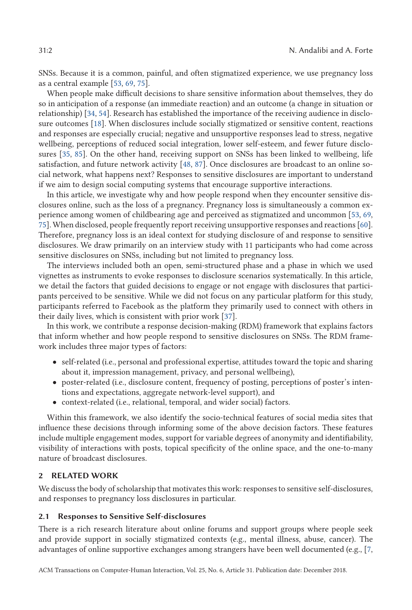SNSs. Because it is a common, painful, and often stigmatized experience, we use pregnancy loss as a central example [\[53,](#page-26-0) [69,](#page-27-0) [75\]](#page-27-0).

When people make difficult decisions to share sensitive information about themselves, they do so in anticipation of a response (an immediate reaction) and an outcome (a change in situation or relationship) [\[34,](#page-26-0) [54\]](#page-27-0). Research has established the importance of the receiving audience in disclosure outcomes [\[18\]](#page-25-0). When disclosures include socially stigmatized or sensitive content, reactions and responses are especially crucial; negative and unsupportive responses lead to stress, negative wellbeing, perceptions of reduced social integration, lower self-esteem, and fewer future disclosures [\[35,](#page-26-0) [85\]](#page-28-0). On the other hand, receiving support on SNSs has been linked to wellbeing, life satisfaction, and future network activity [\[48,](#page-26-0) [87\]](#page-28-0). Once disclosures are broadcast to an online social network, what happens next? Responses to sensitive disclosures are important to understand if we aim to design social computing systems that encourage supportive interactions.

In this article, we investigate why and how people respond when they encounter sensitive disclosures online, such as the loss of a pregnancy. Pregnancy loss is simultaneously a common experience among women of childbearing age and perceived as stigmatized and uncommon [\[53,](#page-26-0) [69,](#page-27-0) [75\]](#page-27-0). When disclosed, people frequently report receiving unsupportive responses and reactions [\[60\]](#page-27-0). Therefore, pregnancy loss is an ideal context for studying disclosure of and response to sensitive disclosures. We draw primarily on an interview study with 11 participants who had come across sensitive disclosures on SNSs, including but not limited to pregnancy loss.

The interviews included both an open, semi-structured phase and a phase in which we used vignettes as instruments to evoke responses to disclosure scenarios systematically. In this article, we detail the factors that guided decisions to engage or not engage with disclosures that participants perceived to be sensitive. While we did not focus on any particular platform for this study, participants referred to Facebook as the platform they primarily used to connect with others in their daily lives, which is consistent with prior work [\[37\]](#page-26-0).

In this work, we contribute a response decision-making (RDM) framework that explains factors that inform whether and how people respond to sensitive disclosures on SNSs. The RDM framework includes three major types of factors:

- self-related (i.e., personal and professional expertise, attitudes toward the topic and sharing about it, impression management, privacy, and personal wellbeing),
- poster-related (i.e., disclosure content, frequency of posting, perceptions of poster's intentions and expectations, aggregate network-level support), and
- context-related (i.e., relational, temporal, and wider social) factors.

Within this framework, we also identify the socio-technical features of social media sites that influence these decisions through informing some of the above decision factors. These features include multiple engagement modes, support for variable degrees of anonymity and identifiability, visibility of interactions with posts, topical specificity of the online space, and the one-to-many nature of broadcast disclosures.

#### **2 RELATED WORK**

We discuss the body of scholarship that motivates this work: responses to sensitive self-disclosures, and responses to pregnancy loss disclosures in particular.

#### **2.1 Responses to Sensitive Self-disclosures**

There is a rich research literature about online forums and support groups where people seek and provide support in socially stigmatized contexts (e.g., mental illness, abuse, cancer). The advantages of online supportive exchanges among strangers have been well documented (e.g., [\[7,](#page-24-0)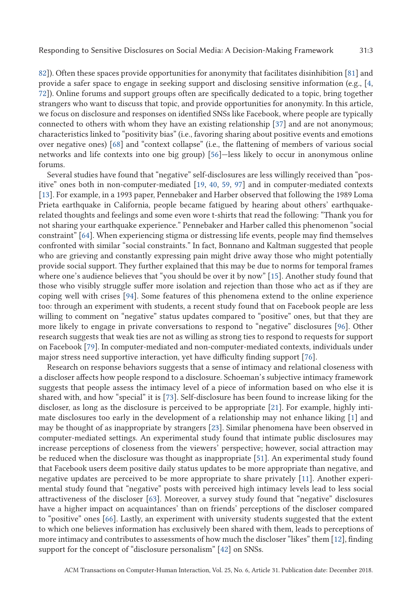[82\]](#page-28-0)). Often these spaces provide opportunities for anonymity that facilitates disinhibition [\[81\]](#page-28-0) and provide a safer space to engage in seeking support and disclosing sensitive information (e.g.,  $[4, 1]$  $[4, 1]$ [72\]](#page-27-0)). Online forums and support groups often are specifically dedicated to a topic, bring together strangers who want to discuss that topic, and provide opportunities for anonymity. In this article, we focus on disclosure and responses on identified SNSs like Facebook, where people are typically connected to others with whom they have an existing relationship [\[37\]](#page-26-0) and are not anonymous; characteristics linked to "positivity bias" (i.e., favoring sharing about positive events and emotions over negative ones) [\[68\]](#page-27-0) and "context collapse" (i.e., the flattening of members of various social networks and life contexts into one big group) [\[56\]](#page-27-0)—less likely to occur in anonymous online forums.

Several studies have found that "negative" self-disclosures are less willingly received than "positive" ones both in non-computer-mediated [\[19,](#page-25-0) [40,](#page-26-0) [59,](#page-27-0) [97\]](#page-28-0) and in computer-mediated contexts [\[13\]](#page-25-0). For example, in a 1993 paper, Pennebaker and Harber observed that following the 1989 Loma Prieta earthquake in California, people became fatigued by hearing about others' earthquakerelated thoughts and feelings and some even wore t-shirts that read the following: "Thank you for not sharing your earthquake experience." Pennebaker and Harber called this phenomenon "social constraint" [\[64\]](#page-27-0). When experiencing stigma or distressing life events, people may find themselves confronted with similar "social constraints." In fact, Bonnano and Kaltman suggested that people who are grieving and constantly expressing pain might drive away those who might potentially provide social support. They further explained that this may be due to norms for temporal frames where one's audience believes that "you should be over it by now" [\[15\]](#page-25-0). Another study found that those who visibly struggle suffer more isolation and rejection than those who act as if they are coping well with crises [\[94\]](#page-28-0). Some features of this phenomena extend to the online experience too: through an experiment with students, a recent study found that on Facebook people are less willing to comment on "negative" status updates compared to "positive" ones, but that they are more likely to engage in private conversations to respond to "negative" disclosures [\[96\]](#page-28-0). Other research suggests that weak ties are not as willing as strong ties to respond to requests for support on Facebook [\[79\]](#page-28-0). In computer-mediated and non-computer-mediated contexts, individuals under major stress need supportive interaction, yet have difficulty finding support [\[76\]](#page-27-0).

Research on response behaviors suggests that a sense of intimacy and relational closeness with a discloser affects how people respond to a disclosure. Schoeman's subjective intimacy framework suggests that people assess the intimacy level of a piece of information based on who else it is shared with, and how "special" it is [\[73\]](#page-27-0). Self-disclosure has been found to increase liking for the discloser, as long as the disclosure is perceived to be appropriate [\[21\]](#page-25-0). For example, highly intimate disclosures too early in the development of a relationship may not enhance liking [\[1\]](#page-24-0) and may be thought of as inappropriate by strangers [\[23\]](#page-25-0). Similar phenomena have been observed in computer-mediated settings. An experimental study found that intimate public disclosures may increase perceptions of closeness from the viewers' perspective; however, social attraction may be reduced when the disclosure was thought as inappropriate [\[51\]](#page-26-0). An experimental study found that Facebook users deem positive daily status updates to be more appropriate than negative, and negative updates are perceived to be more appropriate to share privately [\[11\]](#page-25-0). Another experimental study found that "negative" posts with perceived high intimacy levels lead to less social attractiveness of the discloser [\[63\]](#page-27-0). Moreover, a survey study found that "negative" disclosures have a higher impact on acquaintances' than on friends' perceptions of the discloser compared to "positive" ones [\[66\]](#page-27-0). Lastly, an experiment with university students suggested that the extent to which one believes information has exclusively been shared with them, leads to perceptions of more intimacy and contributes to assessments of how much the discloser "likes" them [\[12\]](#page-25-0), finding support for the concept of "disclosure personalism" [\[42\]](#page-26-0) on SNSs.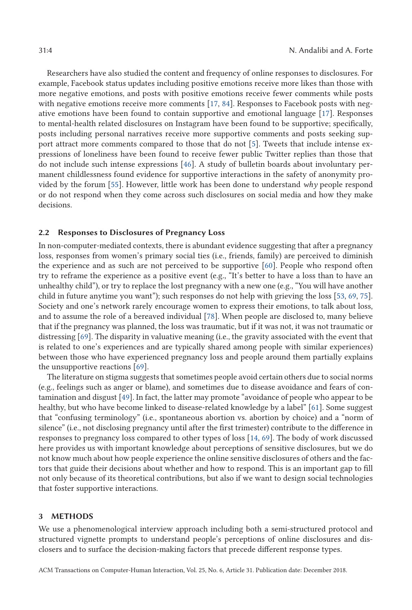Researchers have also studied the content and frequency of online responses to disclosures. For example, Facebook status updates including positive emotions receive more likes than those with more negative emotions, and posts with positive emotions receive fewer comments while posts with negative emotions receive more comments [\[17,](#page-25-0) [84\]](#page-28-0). Responses to Facebook posts with negative emotions have been found to contain supportive and emotional language [\[17\]](#page-25-0). Responses to mental-health related disclosures on Instagram have been found to be supportive; specifically, posts including personal narratives receive more supportive comments and posts seeking support attract more comments compared to those that do not [\[5\]](#page-24-0). Tweets that include intense expressions of loneliness have been found to receive fewer public Twitter replies than those that do not include such intense expressions [\[46\]](#page-26-0). A study of bulletin boards about involuntary permanent childlessness found evidence for supportive interactions in the safety of anonymity provided by the forum [\[55\]](#page-27-0). However, little work has been done to understand *why* people respond or do not respond when they come across such disclosures on social media and how they make decisions.

### **2.2 Responses to Disclosures of Pregnancy Loss**

In non-computer-mediated contexts, there is abundant evidence suggesting that after a pregnancy loss, responses from women's primary social ties (i.e., friends, family) are perceived to diminish the experience and as such are not perceived to be supportive [\[60\]](#page-27-0). People who respond often try to reframe the experience as a positive event (e.g., "It's better to have a loss than to have an unhealthy child"), or try to replace the lost pregnancy with a new one (e.g., "You will have another child in future anytime you want"); such responses do not help with grieving the loss [\[53,](#page-26-0) [69,](#page-27-0) [75\]](#page-27-0). Society and one's network rarely encourage women to express their emotions, to talk about loss, and to assume the role of a bereaved individual [\[78\]](#page-28-0). When people are disclosed to, many believe that if the pregnancy was planned, the loss was traumatic, but if it was not, it was not traumatic or distressing [\[69\]](#page-27-0). The disparity in valuative meaning (i.e., the gravity associated with the event that is related to one's experiences and are typically shared among people with similar experiences) between those who have experienced pregnancy loss and people around them partially explains the unsupportive reactions [\[69\]](#page-27-0).

The literature on stigma suggests that sometimes people avoid certain others due to social norms (e.g., feelings such as anger or blame), and sometimes due to disease avoidance and fears of contamination and disgust [\[49\]](#page-26-0). In fact, the latter may promote "avoidance of people who appear to be healthy, but who have become linked to disease-related knowledge by a label" [\[61\]](#page-27-0). Some suggest that "confusing terminology" (i.e., spontaneous abortion vs. abortion by choice) and a "norm of silence" (i.e., not disclosing pregnancy until after the first trimester) contribute to the difference in responses to pregnancy loss compared to other types of loss [\[14,](#page-25-0) [69\]](#page-27-0). The body of work discussed here provides us with important knowledge about perceptions of sensitive disclosures, but we do not know much about how people experience the online sensitive disclosures of others and the factors that guide their decisions about whether and how to respond. This is an important gap to fill not only because of its theoretical contributions, but also if we want to design social technologies that foster supportive interactions.

#### **3 METHODS**

We use a phenomenological interview approach including both a semi-structured protocol and structured vignette prompts to understand people's perceptions of online disclosures and disclosers and to surface the decision-making factors that precede different response types.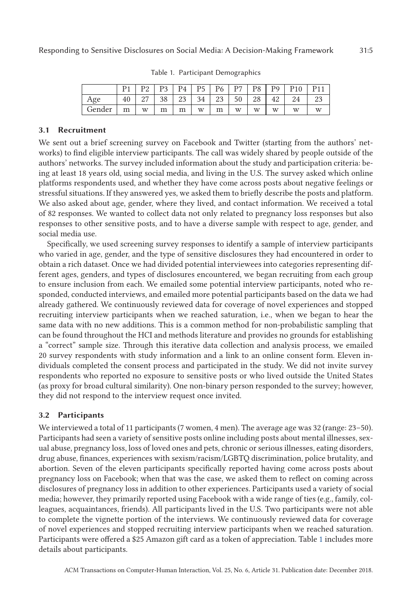|        | D <sub>1</sub> |        | D2 | P4 | P <sub>5</sub> | P6 | $p_7$ | P8 | P <sub>Q</sub> | P <sub>10</sub> | $p_1$ |
|--------|----------------|--------|----|----|----------------|----|-------|----|----------------|-----------------|-------|
| Age    | 40             | $\sim$ | 38 | 23 | 34             | 23 | 50    | 28 | 42             | 24              |       |
| Gender | m              | W      | m  | m  | W              | m  | W     | W  | W              | W               | W     |

Table 1. Participant Demographics

### **3.1 Recruitment**

We sent out a brief screening survey on Facebook and Twitter (starting from the authors' networks) to find eligible interview participants. The call was widely shared by people outside of the authors' networks. The survey included information about the study and participation criteria: being at least 18 years old, using social media, and living in the U.S. The survey asked which online platforms respondents used, and whether they have come across posts about negative feelings or stressful situations. If they answered yes, we asked them to briefly describe the posts and platform. We also asked about age, gender, where they lived, and contact information. We received a total of 82 responses. We wanted to collect data not only related to pregnancy loss responses but also responses to other sensitive posts, and to have a diverse sample with respect to age, gender, and social media use.

Specifically, we used screening survey responses to identify a sample of interview participants who varied in age, gender, and the type of sensitive disclosures they had encountered in order to obtain a rich dataset. Once we had divided potential interviewees into categories representing different ages, genders, and types of disclosures encountered, we began recruiting from each group to ensure inclusion from each. We emailed some potential interview participants, noted who responded, conducted interviews, and emailed more potential participants based on the data we had already gathered. We continuously reviewed data for coverage of novel experiences and stopped recruiting interview participants when we reached saturation, i.e., when we began to hear the same data with no new additions. This is a common method for non-probabilistic sampling that can be found throughout the HCI and methods literature and provides no grounds for establishing a "correct" sample size. Through this iterative data collection and analysis process, we emailed 20 survey respondents with study information and a link to an online consent form. Eleven individuals completed the consent process and participated in the study. We did not invite survey respondents who reported no exposure to sensitive posts or who lived outside the United States (as proxy for broad cultural similarity). One non-binary person responded to the survey; however, they did not respond to the interview request once invited.

### **3.2 Participants**

We interviewed a total of 11 participants (7 women, 4 men). The average age was 32 (range: 23–50). Participants had seen a variety of sensitive posts online including posts about mental illnesses, sexual abuse, pregnancy loss, loss of loved ones and pets, chronic or serious illnesses, eating disorders, drug abuse, finances, experiences with sexism/racism/LGBTQ discrimination, police brutality, and abortion. Seven of the eleven participants specifically reported having come across posts about pregnancy loss on Facebook; when that was the case, we asked them to reflect on coming across disclosures of pregnancy loss in addition to other experiences. Participants used a variety of social media; however, they primarily reported using Facebook with a wide range of ties (e.g., family, colleagues, acquaintances, friends). All participants lived in the U.S. Two participants were not able to complete the vignette portion of the interviews. We continuously reviewed data for coverage of novel experiences and stopped recruiting interview participants when we reached saturation. Participants were offered a \$25 Amazon gift card as a token of appreciation. Table 1 includes more details about participants.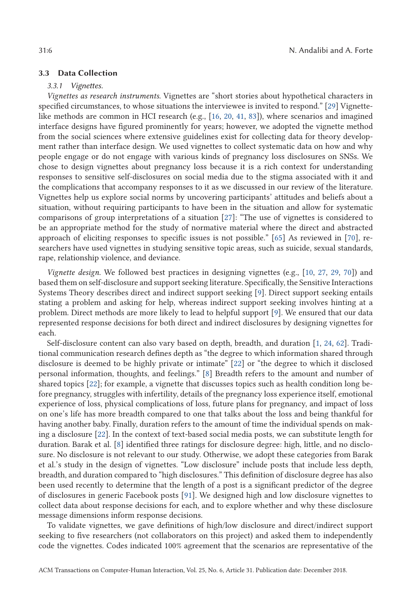### **3.3 Data Collection**

### *3.3.1 Vignettes.*

*Vignettes as research instruments*. Vignettes are "short stories about hypothetical characters in specified circumstances, to whose situations the interviewee is invited to respond." [\[29\]](#page-25-0) Vignettelike methods are common in HCI research (e.g., [\[16,](#page-25-0) [20,](#page-25-0) [41,](#page-26-0) [83\]](#page-28-0)), where scenarios and imagined interface designs have figured prominently for years; however, we adopted the vignette method from the social sciences where extensive guidelines exist for collecting data for theory development rather than interface design. We used vignettes to collect systematic data on how and why people engage or do not engage with various kinds of pregnancy loss disclosures on SNSs. We chose to design vignettes about pregnancy loss because it is a rich context for understanding responses to sensitive self-disclosures on social media due to the stigma associated with it and the complications that accompany responses to it as we discussed in our review of the literature. Vignettes help us explore social norms by uncovering participants' attitudes and beliefs about a situation, without requiring participants to have been in the situation and allow for systematic comparisons of group interpretations of a situation [\[27\]](#page-25-0): "The use of vignettes is considered to be an appropriate method for the study of normative material where the direct and abstracted approach of eliciting responses to specific issues is not possible." [\[65\]](#page-27-0) As reviewed in [\[70\]](#page-27-0), researchers have used vignettes in studying sensitive topic areas, such as suicide, sexual standards, rape, relationship violence, and deviance.

*Vignette design.* We followed best practices in designing vignettes (e.g., [\[10,](#page-25-0) [27,](#page-25-0) [29,](#page-25-0) [70\]](#page-27-0)) and based them on self-disclosure and support seeking literature. Specifically, the Sensitive Interactions Systems Theory describes direct and indirect support seeking [\[9\]](#page-25-0). Direct support seeking entails stating a problem and asking for help, whereas indirect support seeking involves hinting at a problem. Direct methods are more likely to lead to helpful support [\[9\]](#page-25-0). We ensured that our data represented response decisions for both direct and indirect disclosures by designing vignettes for each.

Self-disclosure content can also vary based on depth, breadth, and duration [\[1,](#page-24-0) [24,](#page-25-0) [62\]](#page-27-0). Traditional communication research defines depth as "the degree to which information shared through disclosure is deemed to be highly private or intimate" [\[22\]](#page-25-0) or "the degree to which it disclosed personal information, thoughts, and feelings." [\[8\]](#page-24-0) Breadth refers to the amount and number of shared topics [\[22\]](#page-25-0); for example, a vignette that discusses topics such as health condition long before pregnancy, struggles with infertility, details of the pregnancy loss experience itself, emotional experience of loss, physical complications of loss, future plans for pregnancy, and impact of loss on one's life has more breadth compared to one that talks about the loss and being thankful for having another baby. Finally, duration refers to the amount of time the individual spends on making a disclosure [\[22\]](#page-25-0). In the context of text-based social media posts, we can substitute length for duration. Barak et al. [\[8\]](#page-24-0) identified three ratings for disclosure degree: high, little, and no disclosure. No disclosure is not relevant to our study. Otherwise, we adopt these categories from Barak et al.'s study in the design of vignettes. "Low disclosure" include posts that include less depth, breadth, and duration compared to "high disclosures." This definition of disclosure degree has also been used recently to determine that the length of a post is a significant predictor of the degree of disclosures in generic Facebook posts [\[91\]](#page-28-0). We designed high and low disclosure vignettes to collect data about response decisions for each, and to explore whether and why these disclosure message dimensions inform response decisions.

To validate vignettes, we gave definitions of high/low disclosure and direct/indirect support seeking to five researchers (not collaborators on this project) and asked them to independently code the vignettes. Codes indicated 100% agreement that the scenarios are representative of the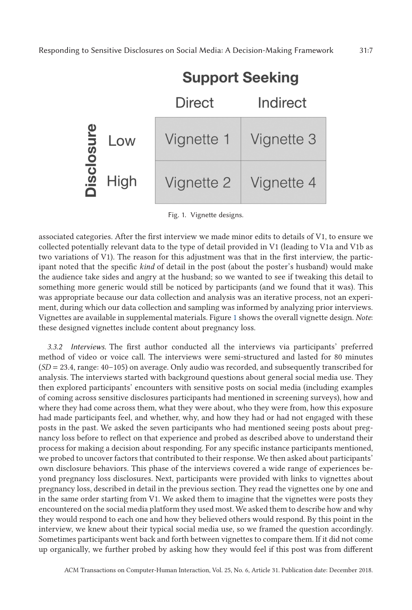

Fig. 1. Vignette designs.

associated categories. After the first interview we made minor edits to details of V1, to ensure we collected potentially relevant data to the type of detail provided in V1 (leading to V1a and V1b as two variations of V1). The reason for this adjustment was that in the first interview, the participant noted that the specific *kind* of detail in the post (about the poster's husband) would make the audience take sides and angry at the husband; so we wanted to see if tweaking this detail to something more generic would still be noticed by participants (and we found that it was). This was appropriate because our data collection and analysis was an iterative process, not an experiment, during which our data collection and sampling was informed by analyzing prior interviews. Vignettes are available in supplemental materials. Figure 1 shows the overall vignette design. *Note*: these designed vignettes include content about pregnancy loss.

*3.3.2 Interviews.* The first author conducted all the interviews via participants' preferred method of video or voice call. The interviews were semi-structured and lasted for 80 minutes (*SD* = 23.4, range: 40–105) on average. Only audio was recorded, and subsequently transcribed for analysis. The interviews started with background questions about general social media use. They then explored participants' encounters with sensitive posts on social media (including examples of coming across sensitive disclosures participants had mentioned in screening surveys), how and where they had come across them, what they were about, who they were from, how this exposure had made participants feel, and whether, why, and how they had or had not engaged with these posts in the past. We asked the seven participants who had mentioned seeing posts about pregnancy loss before to reflect on that experience and probed as described above to understand their process for making a decision about responding. For any specific instance participants mentioned, we probed to uncover factors that contributed to their response. We then asked about participants' own disclosure behaviors. This phase of the interviews covered a wide range of experiences beyond pregnancy loss disclosures. Next, participants were provided with links to vignettes about pregnancy loss, described in detail in the previous section. They read the vignettes one by one and in the same order starting from V1. We asked them to imagine that the vignettes were posts they encountered on the social media platform they used most. We asked them to describe how and why they would respond to each one and how they believed others would respond. By this point in the interview, we knew about their typical social media use, so we framed the question accordingly. Sometimes participants went back and forth between vignettes to compare them. If it did not come up organically, we further probed by asking how they would feel if this post was from different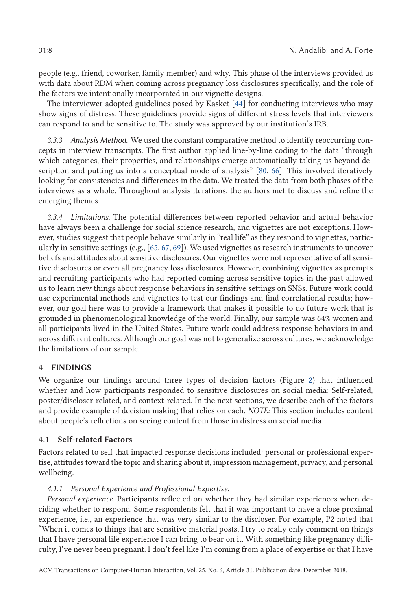people (e.g., friend, coworker, family member) and why. This phase of the interviews provided us with data about RDM when coming across pregnancy loss disclosures specifically, and the role of the factors we intentionally incorporated in our vignette designs.

The interviewer adopted guidelines posed by Kasket [\[44\]](#page-26-0) for conducting interviews who may show signs of distress. These guidelines provide signs of different stress levels that interviewers can respond to and be sensitive to. The study was approved by our institution's IRB.

*3.3.3 Analysis Method.* We used the constant comparative method to identify reoccurring concepts in interview transcripts. The first author applied line-by-line coding to the data "through which categories, their properties, and relationships emerge automatically taking us beyond description and putting us into a conceptual mode of analysis" [\[80,](#page-28-0) [66\]](#page-27-0). This involved iteratively looking for consistencies and differences in the data. We treated the data from both phases of the interviews as a whole. Throughout analysis iterations, the authors met to discuss and refine the emerging themes.

*3.3.4 Limitations.* The potential differences between reported behavior and actual behavior have always been a challenge for social science research, and vignettes are not exceptions. However, studies suggest that people behave similarly in "real life" as they respond to vignettes, particularly in sensitive settings (e.g., [\[65,](#page-27-0) [67,](#page-27-0) [69\]](#page-27-0)). We used vignettes as research instruments to uncover beliefs and attitudes about sensitive disclosures. Our vignettes were not representative of all sensitive disclosures or even all pregnancy loss disclosures. However, combining vignettes as prompts and recruiting participants who had reported coming across sensitive topics in the past allowed us to learn new things about response behaviors in sensitive settings on SNSs. Future work could use experimental methods and vignettes to test our findings and find correlational results; however, our goal here was to provide a framework that makes it possible to do future work that is grounded in phenomenological knowledge of the world. Finally, our sample was 64% women and all participants lived in the United States. Future work could address response behaviors in and across different cultures. Although our goal was not to generalize across cultures, we acknowledge the limitations of our sample.

# **4 FINDINGS**

We organize our findings around three types of decision factors (Figure [2\)](#page-8-0) that influenced whether and how participants responded to sensitive disclosures on social media: Self-related, poster/discloser-related, and context-related. In the next sections, we describe each of the factors and provide example of decision making that relies on each. *NOTE:* This section includes content about people's reflections on seeing content from those in distress on social media.

### **4.1 Self-related Factors**

Factors related to self that impacted response decisions included: personal or professional expertise, attitudes toward the topic and sharing about it, impression management, privacy, and personal wellbeing.

#### *4.1.1 Personal Experience and Professional Expertise.*

*Personal experience.* Participants reflected on whether they had similar experiences when deciding whether to respond. Some respondents felt that it was important to have a close proximal experience, i.e., an experience that was very similar to the discloser. For example, P2 noted that "When it comes to things that are sensitive material posts, I try to really only comment on things that I have personal life experience I can bring to bear on it. With something like pregnancy difficulty, I've never been pregnant. I don't feel like I'm coming from a place of expertise or that I have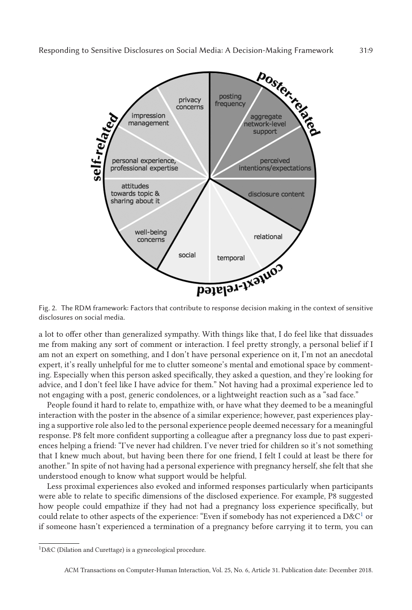<span id="page-8-0"></span>

disclosures on social media.

a lot to offer other than generalized sympathy. With things like that, I do feel like that dissuades me from making any sort of comment or interaction. I feel pretty strongly, a personal belief if I am not an expert on something, and I don't have personal experience on it, I'm not an anecdotal expert, it's really unhelpful for me to clutter someone's mental and emotional space by commenting. Especially when this person asked specifically, they asked a question, and they're looking for advice, and I don't feel like I have advice for them*.*" Not having had a proximal experience led to not engaging with a post, generic condolences, or a lightweight reaction such as a "sad face."

People found it hard to relate to, empathize with, or have what they deemed to be a meaningful interaction with the poster in the absence of a similar experience; however, past experiences playing a supportive role also led to the personal experience people deemed necessary for a meaningful response. P8 felt more confident supporting a colleague after a pregnancy loss due to past experiences helping a friend: "I've never had children. I've never tried for children so it's not something that I knew much about, but having been there for one friend, I felt I could at least be there for another." In spite of not having had a personal experience with pregnancy herself, she felt that she understood enough to know what support would be helpful.

Less proximal experiences also evoked and informed responses particularly when participants were able to relate to specific dimensions of the disclosed experience. For example, P8 suggested how people could empathize if they had not had a pregnancy loss experience specifically, but could relate to other aspects of the experience: "Even if somebody has not experienced a  $D&C^1$  or if someone hasn't experienced a termination of a pregnancy before carrying it to term, you can

<sup>1</sup>D&C (Dilation and Curettage) is a gynecological procedure.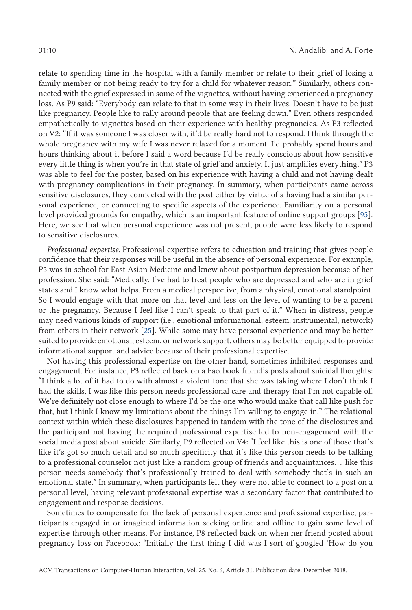relate to spending time in the hospital with a family member or relate to their grief of losing a family member or not being ready to try for a child for whatever reason." Similarly, others connected with the grief expressed in some of the vignettes, without having experienced a pregnancy loss. As P9 said: "Everybody can relate to that in some way in their lives. Doesn't have to be just like pregnancy. People like to rally around people that are feeling down." Even others responded empathetically to vignettes based on their experience with healthy pregnancies. As P3 reflected on V2: "If it was someone I was closer with, it'd be really hard not to respond. I think through the whole pregnancy with my wife I was never relaxed for a moment. I'd probably spend hours and hours thinking about it before I said a word because I'd be really conscious about how sensitive every little thing is when you're in that state of grief and anxiety. It just amplifies everything." P3 was able to feel for the poster, based on his experience with having a child and not having dealt with pregnancy complications in their pregnancy. In summary, when participants came across sensitive disclosures, they connected with the post either by virtue of a having had a similar personal experience, or connecting to specific aspects of the experience. Familiarity on a personal level provided grounds for empathy, which is an important feature of online support groups [\[95\]](#page-28-0). Here, we see that when personal experience was not present, people were less likely to respond to sensitive disclosures*.*

*Professional expertise.* Professional expertise refers to education and training that gives people confidence that their responses will be useful in the absence of personal experience. For example, P5 was in school for East Asian Medicine and knew about postpartum depression because of her profession. She said: "Medically, I've had to treat people who are depressed and who are in grief states and I know what helps. From a medical perspective, from a physical, emotional standpoint. So I would engage with that more on that level and less on the level of wanting to be a parent or the pregnancy. Because I feel like I can't speak to that part of it." When in distress, people may need various kinds of support (i.e., emotional informational, esteem, instrumental, network) from others in their network [\[25\]](#page-25-0). While some may have personal experience and may be better suited to provide emotional, esteem, or network support, others may be better equipped to provide informational support and advice because of their professional expertise.

Not having this professional expertise on the other hand, sometimes inhibited responses and engagement. For instance, P3 reflected back on a Facebook friend's posts about suicidal thoughts: "I think a lot of it had to do with almost a violent tone that she was taking where I don't think I had the skills, I was like this person needs professional care and therapy that I'm not capable of. We're definitely not close enough to where I'd be the one who would make that call like push for that, but I think I know my limitations about the things I'm willing to engage in*.*" The relational context within which these disclosures happened in tandem with the tone of the disclosures and the participant not having the required professional expertise led to non-engagement with the social media post about suicide. Similarly, P9 reflected on V4: "I feel like this is one of those that's like it's got so much detail and so much specificity that it's like this person needs to be talking to a professional counselor not just like a random group of friends and acquaintances... like this person needs somebody that's professionally trained to deal with somebody that's in such an emotional state*.*" In summary, when participants felt they were not able to connect to a post on a personal level, having relevant professional expertise was a secondary factor that contributed to engagement and response decisions.

Sometimes to compensate for the lack of personal experience and professional expertise, participants engaged in or imagined information seeking online and offline to gain some level of expertise through other means. For instance, P8 reflected back on when her friend posted about pregnancy loss on Facebook: "Initially the first thing I did was I sort of googled 'How do you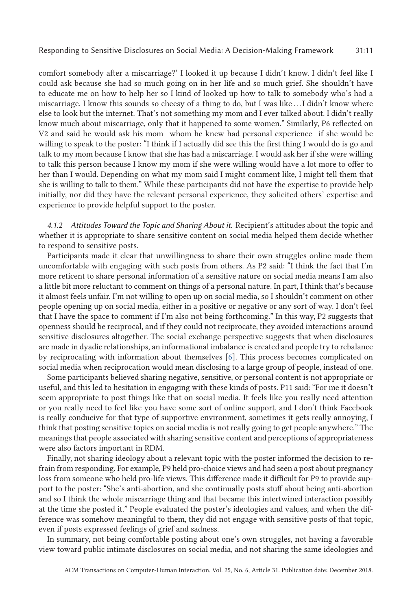comfort somebody after a miscarriage?' I looked it up because I didn't know. I didn't feel like I could ask because she had so much going on in her life and so much grief. She shouldn't have to educate me on how to help her so I kind of looked up how to talk to somebody who's had a miscarriage. I know this sounds so cheesy of a thing to do, but I was like . . .I didn't know where else to look but the internet. That's not something my mom and I ever talked about. I didn't really know much about miscarriage, only that it happened to some women*.*" Similarly, P6 reflected on V2 and said he would ask his mom—whom he knew had personal experience—if she would be willing to speak to the poster: "I think if I actually did see this the first thing I would do is go and talk to my mom because I know that she has had a miscarriage. I would ask her if she were willing to talk this person because I know my mom if she were willing would have a lot more to offer to her than I would. Depending on what my mom said I might comment like, I might tell them that she is willing to talk to them*.*" While these participants did not have the expertise to provide help initially, nor did they have the relevant personal experience, they solicited others' expertise and experience to provide helpful support to the poster.

*4.1.2 Attitudes Toward the Topic and Sharing About it.* Recipient's attitudes about the topic and whether it is appropriate to share sensitive content on social media helped them decide whether to respond to sensitive posts.

Participants made it clear that unwillingness to share their own struggles online made them uncomfortable with engaging with such posts from others. As P2 said: "I think the fact that I'm more reticent to share personal information of a sensitive nature on social media means I am also a little bit more reluctant to comment on things of a personal nature. In part, I think that's because it almost feels unfair. I'm not willing to open up on social media, so I shouldn't comment on other people opening up on social media, either in a positive or negative or any sort of way. I don't feel that I have the space to comment if I'm also not being forthcoming." In this way, P2 suggests that openness should be reciprocal, and if they could not reciprocate, they avoided interactions around sensitive disclosures altogether. The social exchange perspective suggests that when disclosures are made in dyadic relationships, an informational imbalance is created and people try to rebalance by reciprocating with information about themselves [\[6\]](#page-24-0). This process becomes complicated on social media when reciprocation would mean disclosing to a large group of people, instead of one.

Some participants believed sharing negative, sensitive, or personal content is not appropriate or useful, and this led to hesitation in engaging with these kinds of posts. P11 said: "For me it doesn't seem appropriate to post things like that on social media. It feels like you really need attention or you really need to feel like you have some sort of online support, and I don't think Facebook is really conducive for that type of supportive environment, sometimes it gets really annoying, I think that posting sensitive topics on social media is not really going to get people anywhere." The meanings that people associated with sharing sensitive content and perceptions of appropriateness were also factors important in RDM.

Finally, not sharing ideology about a relevant topic with the poster informed the decision to refrain from responding. For example, P9 held pro-choice views and had seen a post about pregnancy loss from someone who held pro-life views. This difference made it difficult for P9 to provide support to the poster: "She's anti-abortion, and she continually posts stuff about being anti-abortion and so I think the whole miscarriage thing and that became this intertwined interaction possibly at the time she posted it." People evaluated the poster's ideologies and values, and when the difference was somehow meaningful to them, they did not engage with sensitive posts of that topic, even if posts expressed feelings of grief and sadness.

In summary, not being comfortable posting about one's own struggles, not having a favorable view toward public intimate disclosures on social media, and not sharing the same ideologies and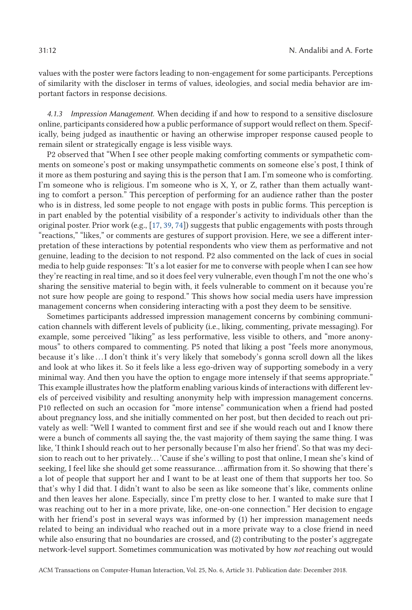values with the poster were factors leading to non-engagement for some participants. Perceptions of similarity with the discloser in terms of values, ideologies, and social media behavior are important factors in response decisions.

*4.1.3 Impression Management.* When deciding if and how to respond to a sensitive disclosure online, participants considered how a public performance of support would reflect on them. Specifically, being judged as inauthentic or having an otherwise improper response caused people to remain silent or strategically engage is less visible ways.

P2 observed that "When I see other people making comforting comments or sympathetic comments on someone's post or making unsympathetic comments on someone else's post, I think of it more as them posturing and saying this is the person that I am. I'm someone who is comforting. I'm someone who is religious. I'm someone who is X, Y, or Z, rather than them actually wanting to comfort a person." This perception of performing for an audience rather than the poster who is in distress, led some people to not engage with posts in public forms. This perception is in part enabled by the potential visibility of a responder's activity to individuals other than the original poster. Prior work (e.g., [\[17,](#page-25-0) [39,](#page-26-0) [74\]](#page-27-0)) suggests that public engagements with posts through "reactions," "likes," or comments are gestures of support provision. Here, we see a different interpretation of these interactions by potential respondents who view them as performative and not genuine, leading to the decision to not respond. P2 also commented on the lack of cues in social media to help guide responses: "It's a lot easier for me to converse with people when I can see how they're reacting in real time, and so it does feel very vulnerable, even though I'm not the one who's sharing the sensitive material to begin with, it feels vulnerable to comment on it because you're not sure how people are going to respond." This shows how social media users have impression management concerns when considering interacting with a post they deem to be sensitive.

Sometimes participants addressed impression management concerns by combining communication channels with different levels of publicity (i.e., liking, commenting, private messaging). For example, some perceived "liking" as less performative, less visible to others, and "more anonymous" to others compared to commenting. P5 noted that liking a post "feels more anonymous, because it's like . . .I don't think it's very likely that somebody's gonna scroll down all the likes and look at who likes it. So it feels like a less ego-driven way of supporting somebody in a very minimal way. And then you have the option to engage more intensely if that seems appropriate." This example illustrates how the platform enabling various kinds of interactions with different levels of perceived visibility and resulting anonymity help with impression management concerns. P10 reflected on such an occasion for "more intense" communication when a friend had posted about pregnancy loss, and she initially commented on her post, but then decided to reach out privately as well: "Well I wanted to comment first and see if she would reach out and I know there were a bunch of comments all saying the, the vast majority of them saying the same thing. I was like, 'I think I should reach out to her personally because I'm also her friend'. So that was my decision to reach out to her privately... 'Cause if she's willing to post that online, I mean she's kind of seeking, I feel like she should get some reassurance. . . affirmation from it. So showing that there's a lot of people that support her and I want to be at least one of them that supports her too. So that's why I did that. I didn't want to also be seen as like someone that's like, comments online and then leaves her alone. Especially, since I'm pretty close to her. I wanted to make sure that I was reaching out to her in a more private, like, one-on-one connection." Her decision to engage with her friend's post in several ways was informed by (1) her impression management needs related to being an individual who reached out in a more private way to a close friend in need while also ensuring that no boundaries are crossed, and (2) contributing to the poster's aggregate network-level support. Sometimes communication was motivated by how *not* reaching out would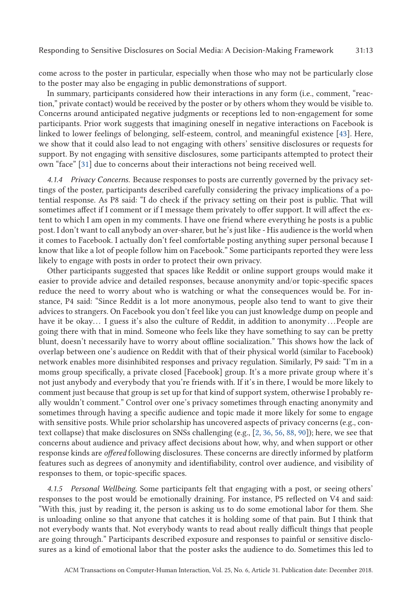come across to the poster in particular, especially when those who may not be particularly close to the poster may also be engaging in public demonstrations of support.

In summary, participants considered how their interactions in any form (i.e., comment, "reaction," private contact) would be received by the poster or by others whom they would be visible to. Concerns around anticipated negative judgments or receptions led to non-engagement for some participants. Prior work suggests that imagining oneself in negative interactions on Facebook is linked to lower feelings of belonging, self-esteem, control, and meaningful existence [\[43\]](#page-26-0). Here, we show that it could also lead to not engaging with others' sensitive disclosures or requests for support. By not engaging with sensitive disclosures, some participants attempted to protect their own "face" [\[31\]](#page-25-0) due to concerns about their interactions not being received well.

*4.1.4 Privacy Concerns.* Because responses to posts are currently governed by the privacy settings of the poster, participants described carefully considering the privacy implications of a potential response. As P8 said: "I do check if the privacy setting on their post is public. That will sometimes affect if I comment or if I message them privately to offer support. It will affect the extent to which I am open in my comments. I have one friend where everything he posts is a public post. I don't want to call anybody an over-sharer, but he's just like - His audience is the world when it comes to Facebook. I actually don't feel comfortable posting anything super personal because I know that like a lot of people follow him on Facebook." Some participants reported they were less likely to engage with posts in order to protect their own privacy.

Other participants suggested that spaces like Reddit or online support groups would make it easier to provide advice and detailed responses, because anonymity and/or topic-specific spaces reduce the need to worry about who is watching or what the consequences would be. For instance, P4 said: "Since Reddit is a lot more anonymous, people also tend to want to give their advices to strangers. On Facebook you don't feel like you can just knowledge dump on people and have it be okay... I guess it's also the culture of Reddit, in addition to anonymity... People are going there with that in mind. Someone who feels like they have something to say can be pretty blunt, doesn't necessarily have to worry about offline socialization*.*" This shows how the lack of overlap between one's audience on Reddit with that of their physical world (similar to Facebook) network enables more disinhibited responses and privacy regulation. Similarly, P9 said: "I'm in a moms group specifically, a private closed [Facebook] group. It's a more private group where it's not just anybody and everybody that you're friends with. If it's in there, I would be more likely to comment just because that group is set up for that kind of support system, otherwise I probably really wouldn't comment." Control over one's privacy sometimes through enacting anonymity and sometimes through having a specific audience and topic made it more likely for some to engage with sensitive posts. While prior scholarship has uncovered aspects of privacy concerns (e.g., context collapse) that make disclosures on SNSs challenging (e.g., [\[2,](#page-24-0) [36,](#page-26-0) [56,](#page-27-0) [88,](#page-28-0) [90\]](#page-28-0)); here, we see that concerns about audience and privacy affect decisions about how, why, and when support or other response kinds are *offered* following disclosures. These concerns are directly informed by platform features such as degrees of anonymity and identifiability, control over audience, and visibility of responses to them, or topic-specific spaces.

*4.1.5 Personal Wellbeing.* Some participants felt that engaging with a post, or seeing others' responses to the post would be emotionally draining. For instance, P5 reflected on V4 and said: "With this, just by reading it, the person is asking us to do some emotional labor for them. She is unloading online so that anyone that catches it is holding some of that pain. But I think that not everybody wants that. Not everybody wants to read about really difficult things that people are going through." Participants described exposure and responses to painful or sensitive disclosures as a kind of emotional labor that the poster asks the audience to do. Sometimes this led to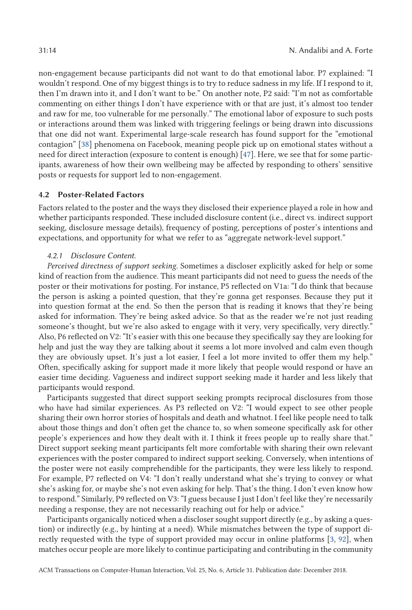non-engagement because participants did not want to do that emotional labor. P7 explained: "I wouldn't respond. One of my biggest things is to try to reduce sadness in my life. If I respond to it, then I'm drawn into it, and I don't want to be." On another note, P2 said: "I'm not as comfortable commenting on either things I don't have experience with or that are just, it's almost too tender and raw for me, too vulnerable for me personally*.*" The emotional labor of exposure to such posts or interactions around them was linked with triggering feelings or being drawn into discussions that one did not want. Experimental large-scale research has found support for the "emotional contagion" [\[38\]](#page-26-0) phenomena on Facebook, meaning people pick up on emotional states without a need for direct interaction (exposure to content is enough) [\[47\]](#page-26-0). Here, we see that for some participants, awareness of how their own wellbeing may be affected by responding to others' sensitive posts or requests for support led to non-engagement.

### **4.2 Poster-Related Factors**

Factors related to the poster and the ways they disclosed their experience played a role in how and whether participants responded. These included disclosure content (i.e., direct vs. indirect support seeking, disclosure message details), frequency of posting, perceptions of poster's intentions and expectations, and opportunity for what we refer to as "aggregate network-level support."

### *4.2.1 Disclosure Content.*

*Perceived directness of support seeking.* Sometimes a discloser explicitly asked for help or some kind of reaction from the audience. This meant participants did not need to guess the needs of the poster or their motivations for posting. For instance, P5 reflected on V1a: "I do think that because the person is asking a pointed question, that they're gonna get responses. Because they put it into question format at the end. So then the person that is reading it knows that they're being asked for information. They're being asked advice. So that as the reader we're not just reading someone's thought, but we're also asked to engage with it very, very specifically, very directly." Also, P6 reflected on V2: "It's easier with this one because they specifically say they are looking for help and just the way they are talking about it seems a lot more involved and calm even though they are obviously upset. It's just a lot easier, I feel a lot more invited to offer them my help." Often, specifically asking for support made it more likely that people would respond or have an easier time deciding. Vagueness and indirect support seeking made it harder and less likely that participants would respond.

Participants suggested that direct support seeking prompts reciprocal disclosures from those who have had similar experiences. As P3 reflected on V2: "I would expect to see other people sharing their own horror stories of hospitals and death and whatnot*.* I feel like people need to talk about those things and don't often get the chance to, so when someone specifically ask for other people's experiences and how they dealt with it. I think it frees people up to really share that." Direct support seeking meant participants felt more comfortable with sharing their own relevant experiences with the poster compared to indirect support seeking. Conversely, when intentions of the poster were not easily comprehendible for the participants, they were less likely to respond. For example, P7 reflected on V4: "I don't really understand what she's trying to convey or what she's asking for, or maybe she's not even asking for help. That's the thing. I don't even know how to respond." Similarly, P9 reflected on V3: "I guess because I just I don't feel like they're necessarily needing a response, they are not necessarily reaching out for help or advice."

Participants organically noticed when a discloser sought support directly (e.g., by asking a question) or indirectly (e.g., by hinting at a need). While mismatches between the type of support directly requested with the type of support provided may occur in online platforms [\[3,](#page-24-0) [92\]](#page-28-0), when matches occur people are more likely to continue participating and contributing in the community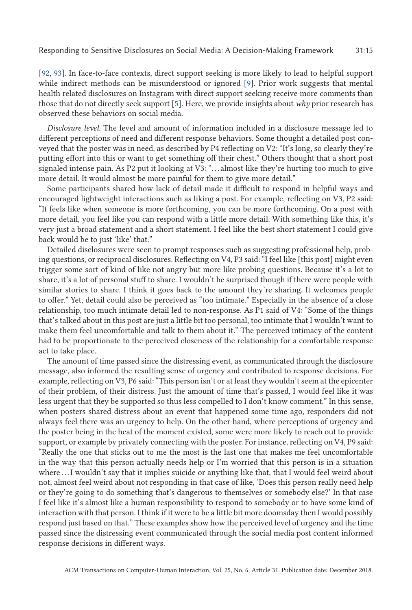[\[92,](#page-28-0) [93\]](#page-28-0). In face-to-face contexts, direct support seeking is more likely to lead to helpful support while indirect methods can be misunderstood or ignored [\[9\]](#page-25-0). Prior work suggests that mental health related disclosures on Instagram with direct support seeking receive more comments than those that do not directly seek support [\[5\]](#page-24-0). Here, we provide insights about *why* prior research has observed these behaviors on social media.

*Disclosure level.* The level and amount of information included in a disclosure message led to different perceptions of need and different response behaviors. Some thought a detailed post conveyed that the poster was in need, as described by P4 reflecting on V2: "It's long, so clearly they're putting effort into this or want to get something off their chest." Others thought that a short post signaled intense pain. As P2 put it looking at V3: "...almost like they're hurting too much to give more detail. It would almost be more painful for them to give more detail."

Some participants shared how lack of detail made it difficult to respond in helpful ways and encouraged lightweight interactions such as liking a post. For example, reflecting on V3, P2 said: "It feels like when someone is more forthcoming, you can be more forthcoming. On a post with more detail, you feel like you can respond with a little more detail. With something like this, it's very just a broad statement and a short statement. I feel like the best short statement I could give back would be to just 'like' that."

Detailed disclosures were seen to prompt responses such as suggesting professional help, probing questions, or reciprocal disclosures. Reflecting on V4, P3 said: "I feel like [this post] might even trigger some sort of kind of like not angry but more like probing questions. Because it's a lot to share, it's a lot of personal stuff to share. I wouldn't be surprised though if there were people with similar stories to share. I think it goes back to the amount they're sharing. It welcomes people to offer." Yet, detail could also be perceived as "too intimate." Especially in the absence of a close relationship, too much intimate detail led to non-response. As P1 said of V4: "Some of the things that's talked about in this post are just a little bit too personal, too intimate that I wouldn't want to make them feel uncomfortable and talk to them about it*.*" The perceived intimacy of the content had to be proportionate to the perceived closeness of the relationship for a comfortable response act to take place.

The amount of time passed since the distressing event, as communicated through the disclosure message, also informed the resulting sense of urgency and contributed to response decisions. For example, reflecting on V3, P6 said: "This person isn't or at least they wouldn't seem at the epicenter of their problem, of their distress. Just the amount of time that's passed, I would feel like it was less urgent that they be supported so thus less compelled to I don't know comment." In this sense, when posters shared distress about an event that happened some time ago, responders did not always feel there was an urgency to help. On the other hand, where perceptions of urgency and the poster being in the heat of the moment existed, some were more likely to reach out to provide support, or example by privately connecting with the poster. For instance, reflecting on V4, P9 said: "Really the one that sticks out to me the most is the last one that makes me feel uncomfortable in the way that this person actually needs help or I'm worried that this person is in a situation where . . .I wouldn't say that it implies suicide or anything like that, that I would feel weird about not, almost feel weird about not responding in that case of like, 'Does this person really need help or they're going to do something that's dangerous to themselves or somebody else?' In that case I feel like it's almost like a human responsibility to respond to somebody or to have some kind of interaction with that person. I think if it were to be a little bit more doomsday then I would possibly respond just based on that." These examples show how the perceived level of urgency and the time passed since the distressing event communicated through the social media post content informed response decisions in different ways.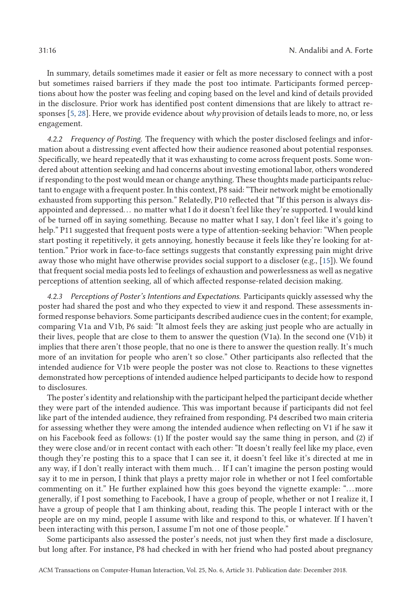In summary, details sometimes made it easier or felt as more necessary to connect with a post but sometimes raised barriers if they made the post too intimate. Participants formed perceptions about how the poster was feeling and coping based on the level and kind of details provided in the disclosure. Prior work has identified post content dimensions that are likely to attract responses [\[5,](#page-24-0) [28\]](#page-25-0). Here, we provide evidence about *why* provision of details leads to more, no, or less engagement.

*4.2.2 Frequency of Posting.* The frequency with which the poster disclosed feelings and information about a distressing event affected how their audience reasoned about potential responses. Specifically, we heard repeatedly that it was exhausting to come across frequent posts. Some wondered about attention seeking and had concerns about investing emotional labor, others wondered if responding to the post would mean or change anything. These thoughts made participants reluctant to engage with a frequent poster. In this context, P8 said: "Their network might be emotionally exhausted from supporting this person." Relatedly, P10 reflected that "If this person is always disappointed and depressed. . . no matter what I do it doesn't feel like they're supported. I would kind of be turned off in saying something. Because no matter what I say, I don't feel like it's going to help." P11 suggested that frequent posts were a type of attention-seeking behavior: "When people start posting it repetitively, it gets annoying, honestly because it feels like they're looking for attention." Prior work in face-to-face settings suggests that constantly expressing pain might drive away those who might have otherwise provides social support to a discloser (e.g., [\[15\]](#page-25-0)). We found that frequent social media posts led to feelings of exhaustion and powerlessness as well as negative perceptions of attention seeking, all of which affected response-related decision making.

*4.2.3 Perceptions of Poster's Intentions and Expectations.* Participants quickly assessed why the poster had shared the post and who they expected to view it and respond. These assessments informed response behaviors. Some participants described audience cues in the content; for example, comparing V1a and V1b, P6 said: "It almost feels they are asking just people who are actually in their lives, people that are close to them to answer the question (V1a). In the second one (V1b) it implies that there aren't those people, that no one is there to answer the question really. It's much more of an invitation for people who aren't so close." Other participants also reflected that the intended audience for V1b were people the poster was not close to. Reactions to these vignettes demonstrated how perceptions of intended audience helped participants to decide how to respond to disclosures.

The poster's identity and relationship with the participant helped the participant decide whether they were part of the intended audience. This was important because if participants did not feel like part of the intended audience, they refrained from responding. P4 described two main criteria for assessing whether they were among the intended audience when reflecting on V1 if he saw it on his Facebook feed as follows: (1) If the poster would say the same thing in person, and (2) if they were close and/or in recent contact with each other: "It doesn't really feel like my place, even though they're posting this to a space that I can see it, it doesn't feel like it's directed at me in any way, if I don't really interact with them much. . . If I can't imagine the person posting would say it to me in person, I think that plays a pretty major role in whether or not I feel comfortable commenting on it." He further explained how this goes beyond the vignette example: ". . .more generally, if I post something to Facebook, I have a group of people, whether or not I realize it, I have a group of people that I am thinking about, reading this. The people I interact with or the people are on my mind, people I assume with like and respond to this, or whatever. If I haven't been interacting with this person, I assume I'm not one of those people."

Some participants also assessed the poster's needs, not just when they first made a disclosure, but long after. For instance, P8 had checked in with her friend who had posted about pregnancy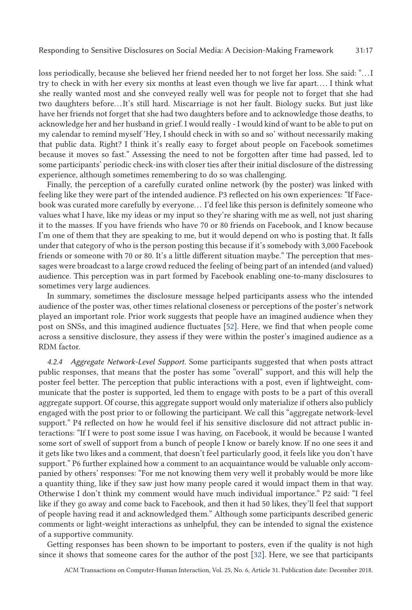loss periodically, because she believed her friend needed her to not forget her loss. She said: ". . .I try to check in with her every six months at least even though we live far apart. . . . I think what she really wanted most and she conveyed really well was for people not to forget that she had two daughters before. . .It's still hard. Miscarriage is not her fault. Biology sucks. But just like have her friends not forget that she had two daughters before and to acknowledge those deaths, to acknowledge her and her husband in grief. I would really - I would kind of want to be able to put on my calendar to remind myself 'Hey, I should check in with so and so' without necessarily making that public data. Right? I think it's really easy to forget about people on Facebook sometimes because it moves so fast." Assessing the need to not be forgotten after time had passed, led to some participants' periodic check-ins with closer ties after their initial disclosure of the distressing experience, although sometimes remembering to do so was challenging.

Finally, the perception of a carefully curated online network (by the poster) was linked with feeling like they were part of the intended audience. P3 reflected on his own experiences: "If Facebook was curated more carefully by everyone. . . I'd feel like this person is definitely someone who values what I have, like my ideas or my input so they're sharing with me as well, not just sharing it to the masses. If you have friends who have 70 or 80 friends on Facebook, and I know because I'm one of them that they are speaking to me, but it would depend on who is posting that. It falls under that category of who is the person posting this because if it's somebody with 3,000 Facebook friends or someone with 70 or 80. It's a little different situation maybe." The perception that messages were broadcast to a large crowd reduced the feeling of being part of an intended (and valued) audience. This perception was in part formed by Facebook enabling one-to-many disclosures to sometimes very large audiences.

In summary, sometimes the disclosure message helped participants assess who the intended audience of the poster was, other times relational closeness or perceptions of the poster's network played an important role. Prior work suggests that people have an imagined audience when they post on SNSs, and this imagined audience fluctuates [\[52\]](#page-26-0). Here, we find that when people come across a sensitive disclosure, they assess if they were within the poster's imagined audience as a RDM factor.

*4.2.4 Aggregate Network-Level Support.* Some participants suggested that when posts attract public responses, that means that the poster has some "overall" support, and this will help the poster feel better. The perception that public interactions with a post, even if lightweight, communicate that the poster is supported, led them to engage with posts to be a part of this overall aggregate support. Of course, this aggregate support would only materialize if others also publicly engaged with the post prior to or following the participant. We call this "aggregate network-level support." P4 reflected on how he would feel if his sensitive disclosure did not attract public interactions: "If I were to post some issue I was having, on Facebook, it would be because I wanted some sort of swell of support from a bunch of people I know or barely know. If no one sees it and it gets like two likes and a comment, that doesn't feel particularly good, it feels like you don't have support." P6 further explained how a comment to an acquaintance would be valuable only accompanied by others' responses: "For me not knowing them very well it probably would be more like a quantity thing, like if they saw just how many people cared it would impact them in that way. Otherwise I don't think my comment would have much individual importance." P2 said: "I feel like if they go away and come back to Facebook, and then it had 50 likes, they'll feel that support of people having read it and acknowledged them." Although some participants described generic comments or light-weight interactions as unhelpful, they can be intended to signal the existence of a supportive community.

Getting responses has been shown to be important to posters, even if the quality is not high since it shows that someone cares for the author of the post [\[32\]](#page-25-0). Here, we see that participants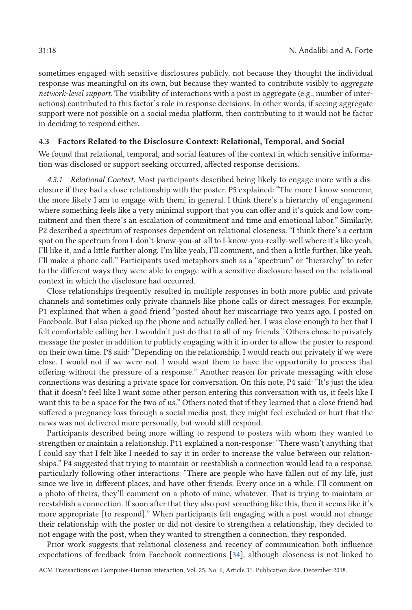sometimes engaged with sensitive disclosures publicly, not because they thought the individual response was meaningful on its own, but because they wanted to contribute visibly to *aggregate network-level support*. The visibility of interactions with a post in aggregate (e.g., number of interactions) contributed to this factor's role in response decisions. In other words, if seeing aggregate support were not possible on a social media platform, then contributing to it would not be factor in deciding to respond either.

### **4.3 Factors Related to the Disclosure Context: Relational, Temporal, and Social**

We found that relational, temporal, and social features of the context in which sensitive information was disclosed or support seeking occurred, affected response decisions.

*4.3.1 Relational Context.* Most participants described being likely to engage more with a disclosure if they had a close relationship with the poster. P5 explained: "The more I know someone, the more likely I am to engage with them, in general. I think there's a hierarchy of engagement where something feels like a very minimal support that you can offer and it's quick and low commitment and then there's an escalation of commitment and time and emotional labor." Similarly, P2 described a spectrum of responses dependent on relational closeness: "I think there's a certain spot on the spectrum from I-don't-know-you-at-all to I-know-you-really-well where it's like yeah, I'll like it, and a little further along, I'm like yeah, I'll comment, and then a little further, like yeah, I'll make a phone call." Participants used metaphors such as a "spectrum" or "hierarchy" to refer to the different ways they were able to engage with a sensitive disclosure based on the relational context in which the disclosure had occurred.

Close relationships frequently resulted in multiple responses in both more public and private channels and sometimes only private channels like phone calls or direct messages. For example, P1 explained that when a good friend "posted about her miscarriage two years ago, I posted on Facebook. But I also picked up the phone and actually called her. I was close enough to her that I felt comfortable calling her. I wouldn't just do that to all of my friends." Others chose to privately message the poster in addition to publicly engaging with it in order to allow the poster to respond on their own time. P8 said: "Depending on the relationship, I would reach out privately if we were close. I would not if we were not. I would want them to have the opportunity to process that offering without the pressure of a response*.*" Another reason for private messaging with close connections was desiring a private space for conversation. On this note, P4 said: "It's just the idea that it doesn't feel like I want some other person entering this conversation with us, it feels like I want this to be a space for the two of us." Others noted that if they learned that a close friend had suffered a pregnancy loss through a social media post, they might feel excluded or hurt that the news was not delivered more personally, but would still respond.

Participants described being more willing to respond to posters with whom they wanted to strengthen or maintain a relationship. P11 explained a non-response: "There wasn't anything that I could say that I felt like I needed to say it in order to increase the value between our relationships." P4 suggested that trying to maintain or reestablish a connection would lead to a response, particularly following other interactions: "There are people who have fallen out of my life, just since we live in different places, and have other friends. Every once in a while, I'll comment on a photo of theirs, they'll comment on a photo of mine, whatever. That is trying to maintain or reestablish a connection. If soon after that they also post something like this, then it seems like it's more appropriate [to respond]." When participants felt engaging with a post would not change their relationship with the poster or did not desire to strengthen a relationship, they decided to not engage with the post, when they wanted to strengthen a connection, they responded.

Prior work suggests that relational closeness and recency of communication both influence expectations of feedback from Facebook connections [\[34\]](#page-26-0), although closeness is not linked to

ACM Transactions on Computer-Human Interaction, Vol. 25, No. 6, Article 31. Publication date: December 2018.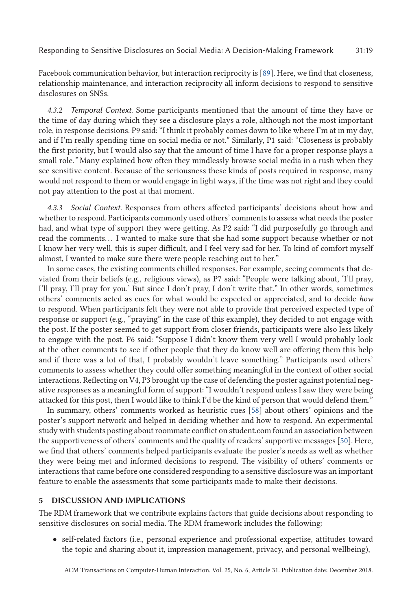Facebook communication behavior, but interaction reciprocity is [\[89\]](#page-28-0). Here, we find that closeness, relationship maintenance, and interaction reciprocity all inform decisions to respond to sensitive disclosures on SNSs.

*4.3.2 Temporal Context.* Some participants mentioned that the amount of time they have or the time of day during which they see a disclosure plays a role, although not the most important role, in response decisions. P9 said: "I think it probably comes down to like where I'm at in my day, and if I'm really spending time on social media or not." Similarly, P1 said: "Closeness is probably the first priority, but I would also say that the amount of time I have for a proper response plays a small role.*"* Many explained how often they mindlessly browse social media in a rush when they see sensitive content. Because of the seriousness these kinds of posts required in response, many would not respond to them or would engage in light ways, if the time was not right and they could not pay attention to the post at that moment.

*4.3.3 Social Context.* Responses from others affected participants' decisions about how and whether to respond. Participants commonly used others' comments to assess what needs the poster had, and what type of support they were getting. As P2 said: "I did purposefully go through and read the comments. . . I wanted to make sure that she had some support because whether or not I know her very well, this is super difficult, and I feel very sad for her. To kind of comfort myself almost, I wanted to make sure there were people reaching out to her."

In some cases, the existing comments chilled responses. For example, seeing comments that deviated from their beliefs (e.g., religious views), as P7 said: "People were talking about, 'I'll pray, I'll pray, I'll pray for you.' But since I don't pray, I don't write that." In other words, sometimes others' comments acted as cues for what would be expected or appreciated, and to decide *how* to respond. When participants felt they were not able to provide that perceived expected type of response or support (e.g., "praying" in the case of this example), they decided to not engage with the post. If the poster seemed to get support from closer friends, participants were also less likely to engage with the post. P6 said: "Suppose I didn't know them very well I would probably look at the other comments to see if other people that they do know well are offering them this help and if there was a lot of that, I probably wouldn't leave something." Participants used others' comments to assess whether they could offer something meaningful in the context of other social interactions. Reflecting on V4, P3 brought up the case of defending the poster against potential negative responses as a meaningful form of support: "I wouldn't respond unless I saw they were being attacked for this post, then I would like to think I'd be the kind of person that would defend them."

In summary, others' comments worked as heuristic cues [\[58\]](#page-27-0) about others' opinions and the poster's support network and helped in deciding whether and how to respond. An experimental study with students posting about roommate conflict on student.com found an association between the supportiveness of others' comments and the quality of readers' supportive messages [\[50\]](#page-26-0). Here, we find that others' comments helped participants evaluate the poster's needs as well as whether they were being met and informed decisions to respond. The visibility of others' comments or interactions that came before one considered responding to a sensitive disclosure was an important feature to enable the assessments that some participants made to make their decisions.

# **5 DISCUSSION AND IMPLICATIONS**

The RDM framework that we contribute explains factors that guide decisions about responding to sensitive disclosures on social media. The RDM framework includes the following:

• self-related factors (i.e., personal experience and professional expertise, attitudes toward the topic and sharing about it, impression management, privacy, and personal wellbeing),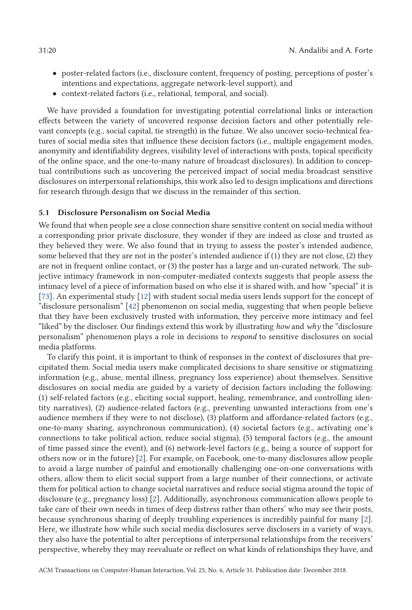- poster-related factors (i.e., disclosure content, frequency of posting, perceptions of poster's intentions and expectations, aggregate network-level support), and
- context-related factors (i.e., relational, temporal, and social).

We have provided a foundation for investigating potential correlational links or interaction effects between the variety of uncovered response decision factors and other potentially relevant concepts (e.g., social capital, tie strength) in the future. We also uncover socio-technical features of social media sites that influence these decision factors (i.e., multiple engagement modes, anonymity and identifiability degrees, visibility level of interactions with posts, topical specificity of the online space, and the one-to-many nature of broadcast disclosures). In addition to conceptual contributions such as uncovering the perceived impact of social media broadcast sensitive disclosures on interpersonal relationships, this work also led to design implications and directions for research through design that we discuss in the remainder of this section.

### **5.1 Disclosure Personalism on Social Media**

We found that when people see a close connection share sensitive content on social media without a corresponding prior private disclosure, they wonder if they are indeed as close and trusted as they believed they were. We also found that in trying to assess the poster's intended audience, some believed that they are not in the poster's intended audience if (1) they are not close, (2) they are not in frequent online contact, or (3) the poster has a large and un-curated network. The subjective intimacy framework in non-computer-mediated contexts suggests that people assess the intimacy level of a piece of information based on who else it is shared with, and how "special" it is [\[73\]](#page-27-0). An experimental study [\[12\]](#page-25-0) with student social media users lends support for the concept of "disclosure personalism" [\[42\]](#page-26-0) phenomenon on social media, suggesting that when people believe that they have been exclusively trusted with information, they perceive more intimacy and feel "liked" by the discloser. Our findings extend this work by illustrating *how* and *why* the "disclosure personalism" phenomenon plays a role in decisions to *respond* to sensitive disclosures on social media platforms.

To clarify this point, it is important to think of responses in the context of disclosures that precipitated them. Social media users make complicated decisions to share sensitive or stigmatizing information (e.g., abuse, mental illness, pregnancy loss experience) about themselves. Sensitive disclosures on social media are guided by a variety of decision factors including the following: (1) self-related factors (e.g., eliciting social support, healing, remembrance, and controlling identity narratives), (2) audience-related factors (e.g., preventing unwanted interactions from one's audience members if they were to not disclose), (3) platform and affordance-related factors (e.g., one-to-many sharing, asynchronous communication), (4) societal factors (e.g., activating one's connections to take political action, reduce social stigma), (5) temporal factors (e.g., the amount of time passed since the event), and (6) network-level factors (e.g., being a source of support for others now or in the future) [\[2\]](#page-24-0). For example, on Facebook, one-to-many disclosures allow people to avoid a large number of painful and emotionally challenging one-on-one conversations with others, allow them to elicit social support from a large number of their connections, or activate them for political action to change societal narratives and reduce social stigma around the topic of disclosure (e.g., pregnancy loss) [\[2\]](#page-24-0). Additionally, asynchronous communication allows people to take care of their own needs in times of deep distress rather than others' who may see their posts, because synchronous sharing of deeply troubling experiences is incredibly painful for many [\[2\]](#page-24-0). Here, we illustrate how while such social media disclosures serve disclosers in a variety of ways, they also have the potential to alter perceptions of interpersonal relationships from the receivers' perspective, whereby they may reevaluate or reflect on what kinds of relationships they have, and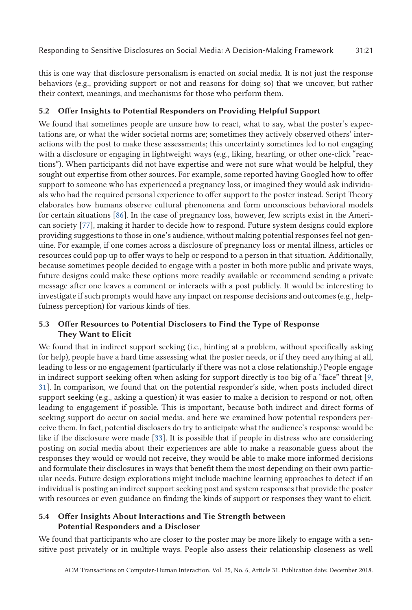this is one way that disclosure personalism is enacted on social media. It is not just the response behaviors (e.g., providing support or not and reasons for doing so) that we uncover, but rather their context, meanings, and mechanisms for those who perform them.

# **5.2 Offer Insights to Potential Responders on Providing Helpful Support**

We found that sometimes people are unsure how to react, what to say, what the poster's expectations are, or what the wider societal norms are; sometimes they actively observed others' interactions with the post to make these assessments; this uncertainty sometimes led to not engaging with a disclosure or engaging in lightweight ways (e.g., liking, hearting, or other one-click "reactions"). When participants did not have expertise and were not sure what would be helpful, they sought out expertise from other sources. For example, some reported having Googled how to offer support to someone who has experienced a pregnancy loss, or imagined they would ask individuals who had the required personal experience to offer support to the poster instead. Script Theory elaborates how humans observe cultural phenomena and form unconscious behavioral models for certain situations [\[86\]](#page-28-0). In the case of pregnancy loss, however, few scripts exist in the American society [\[77\]](#page-27-0), making it harder to decide how to respond. Future system designs could explore providing suggestions to those in one's audience, without making potential responses feel not genuine. For example, if one comes across a disclosure of pregnancy loss or mental illness, articles or resources could pop up to offer ways to help or respond to a person in that situation. Additionally, because sometimes people decided to engage with a poster in both more public and private ways, future designs could make these options more readily available or recommend sending a private message after one leaves a comment or interacts with a post publicly. It would be interesting to investigate if such prompts would have any impact on response decisions and outcomes (e.g., helpfulness perception) for various kinds of ties.

# **5.3 Offer Resources to Potential Disclosers to Find the Type of Response They Want to Elicit**

We found that in indirect support seeking (i.e., hinting at a problem, without specifically asking for help), people have a hard time assessing what the poster needs, or if they need anything at all, leading to less or no engagement (particularly if there was not a close relationship.) People engage in indirect support seeking often when asking for support directly is too big of a "face" threat [\[9,](#page-25-0) [31\]](#page-25-0). In comparison, we found that on the potential responder's side, when posts included direct support seeking (e.g., asking a question) it was easier to make a decision to respond or not, often leading to engagement if possible. This is important, because both indirect and direct forms of seeking support do occur on social media, and here we examined how potential responders perceive them. In fact, potential disclosers do try to anticipate what the audience's response would be like if the disclosure were made [\[33\]](#page-26-0). It is possible that if people in distress who are considering posting on social media about their experiences are able to make a reasonable guess about the responses they would or would not receive, they would be able to make more informed decisions and formulate their disclosures in ways that benefit them the most depending on their own particular needs. Future design explorations might include machine learning approaches to detect if an individual is posting an indirect support seeking post and system responses that provide the poster with resources or even guidance on finding the kinds of support or responses they want to elicit.

# **5.4 Offer Insights About Interactions and Tie Strength between Potential Responders and a Discloser**

We found that participants who are closer to the poster may be more likely to engage with a sensitive post privately or in multiple ways. People also assess their relationship closeness as well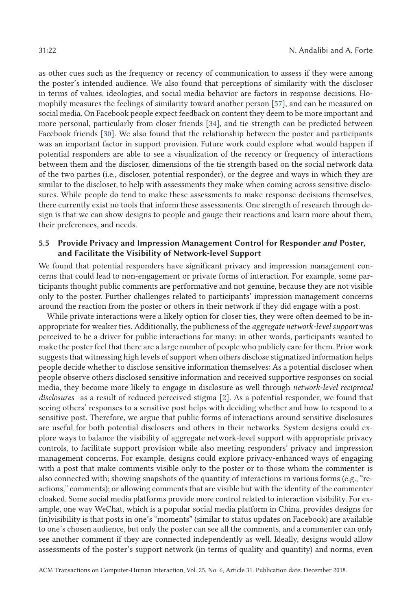as other cues such as the frequency or recency of communication to assess if they were among the poster's intended audience. We also found that perceptions of similarity with the discloser in terms of values, ideologies, and social media behavior are factors in response decisions. Homophily measures the feelings of similarity toward another person [\[57\]](#page-27-0), and can be measured on social media. On Facebook people expect feedback on content they deem to be more important and more personal, particularly from closer friends [\[34\]](#page-26-0), and tie strength can be predicted between Facebook friends [\[30\]](#page-25-0). We also found that the relationship between the poster and participants was an important factor in support provision. Future work could explore what would happen if potential responders are able to see a visualization of the recency or frequency of interactions between them and the discloser, dimensions of the tie strength based on the social network data of the two parties (i.e., discloser, potential responder), or the degree and ways in which they are similar to the discloser, to help with assessments they make when coming across sensitive disclosures. While people do tend to make these assessments to make response decisions themselves, there currently exist no tools that inform these assessments. One strength of research through design is that we can show designs to people and gauge their reactions and learn more about them, their preferences, and needs.

# **5.5 Provide Privacy and Impression Management Control for Responder and Poster, and Facilitate the Visibility of Network-level Support**

We found that potential responders have significant privacy and impression management concerns that could lead to non-engagement or private forms of interaction. For example, some participants thought public comments are performative and not genuine, because they are not visible only to the poster. Further challenges related to participants' impression management concerns around the reaction from the poster or others in their network if they did engage with a post.

While private interactions were a likely option for closer ties, they were often deemed to be inappropriate for weaker ties. Additionally, the publicness of the *aggregate network-level support* was perceived to be a driver for public interactions for many; in other words, participants wanted to make the poster feel that there are a large number of people who publicly care for them. Prior work suggests that witnessing high levels of support when others disclose stigmatized information helps people decide whether to disclose sensitive information themselves: As a potential discloser when people observe others disclosed sensitive information and received supportive responses on social media, they become more likely to engage in disclosure as well through *network-level reciprocal disclosures—*as a result of reduced perceived stigma [\[2\]](#page-24-0). As a potential responder, we found that seeing others' responses to a sensitive post helps with deciding whether and how to respond to a sensitive post. Therefore, we argue that public forms of interactions around sensitive disclosures are useful for both potential disclosers and others in their networks. System designs could explore ways to balance the visibility of aggregate network-level support with appropriate privacy controls, to facilitate support provision while also meeting responders' privacy and impression management concerns. For example, designs could explore privacy-enhanced ways of engaging with a post that make comments visible only to the poster or to those whom the commenter is also connected with; showing snapshots of the quantity of interactions in various forms (e.g., "reactions," comments); or allowing comments that are visible but with the identity of the commenter cloaked. Some social media platforms provide more control related to interaction visibility. For example, one way WeChat, which is a popular social media platform in China, provides designs for (in)visibility is that posts in one's "moments" (similar to status updates on Facebook) are available to one's chosen audience, but only the poster can see all the comments, and a commenter can only see another comment if they are connected independently as well. Ideally, designs would allow assessments of the poster's support network (in terms of quality and quantity) and norms, even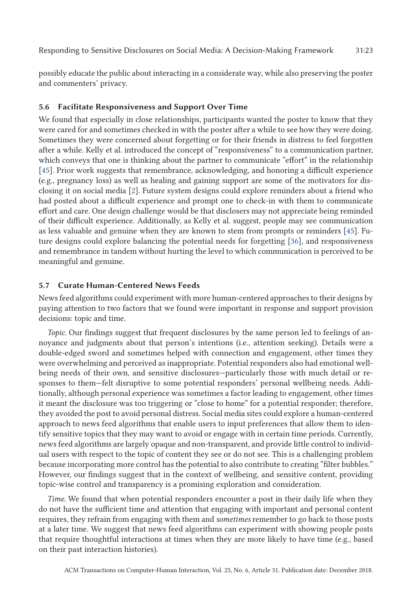Responding to Sensitive Disclosures on Social Media: A Decision-Making Framework 31:23

possibly educate the public about interacting in a considerate way, while also preserving the poster and commenters' privacy.

### **5.6 Facilitate Responsiveness and Support Over Time**

We found that especially in close relationships, participants wanted the poster to know that they were cared for and sometimes checked in with the poster after a while to see how they were doing. Sometimes they were concerned about forgetting or for their friends in distress to feel forgotten after a while. Kelly et al. introduced the concept of "responsiveness" to a communication partner, which conveys that one is thinking about the partner to communicate "effort" in the relationship [\[45\]](#page-26-0). Prior work suggests that remembrance, acknowledging, and honoring a difficult experience (e.g., pregnancy loss) as well as healing and gaining support are some of the motivators for disclosing it on social media [\[2\]](#page-24-0). Future system designs could explore reminders about a friend who had posted about a difficult experience and prompt one to check-in with them to communicate effort and care. One design challenge would be that disclosers may not appreciate being reminded of their difficult experience. Additionally, as Kelly et al. suggest, people may see communication as less valuable and genuine when they are known to stem from prompts or reminders [\[45\]](#page-26-0). Future designs could explore balancing the potential needs for forgetting [\[36\]](#page-26-0), and responsiveness and remembrance in tandem without hurting the level to which communication is perceived to be meaningful and genuine.

# **5.7 Curate Human-Centered News Feeds**

News feed algorithms could experiment with more human-centered approaches to their designs by paying attention to two factors that we found were important in response and support provision decisions: topic and time.

*Topic.* Our findings suggest that frequent disclosures by the same person led to feelings of annoyance and judgments about that person's intentions (i.e., attention seeking). Details were a double-edged sword and sometimes helped with connection and engagement, other times they were overwhelming and perceived as inappropriate. Potential responders also had emotional wellbeing needs of their own, and sensitive disclosures—particularly those with much detail or responses to them—felt disruptive to some potential responders' personal wellbeing needs. Additionally, although personal experience was sometimes a factor leading to engagement, other times it meant the disclosure was too triggering or "close to home" for a potential responder; therefore, they avoided the post to avoid personal distress. Social media sites could explore a human-centered approach to news feed algorithms that enable users to input preferences that allow them to identify sensitive topics that they may want to avoid or engage with in certain time periods. Currently, news feed algorithms are largely opaque and non-transparent, and provide little control to individual users with respect to the topic of content they see or do not see. This is a challenging problem because incorporating more control has the potential to also contribute to creating "filter bubbles." However, our findings suggest that in the context of wellbeing, and sensitive content, providing topic-wise control and transparency is a promising exploration and consideration.

*Time.* We found that when potential responders encounter a post in their daily life when they do not have the sufficient time and attention that engaging with important and personal content requires, they refrain from engaging with them and *sometimes* remember to go back to those posts at a later time. We suggest that news feed algorithms can experiment with showing people posts that require thoughtful interactions at times when they are more likely to have time (e.g., based on their past interaction histories).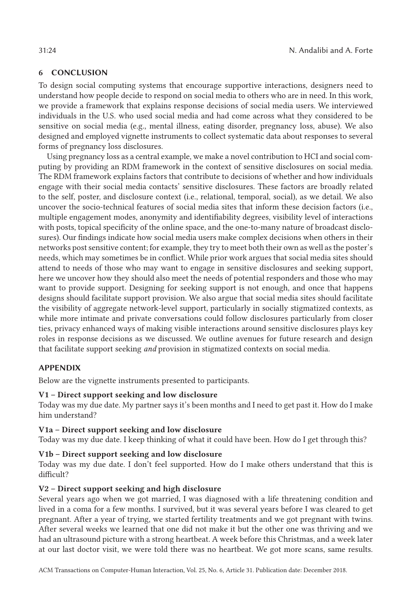# **6 CONCLUSION**

To design social computing systems that encourage supportive interactions, designers need to understand how people decide to respond on social media to others who are in need. In this work, we provide a framework that explains response decisions of social media users. We interviewed individuals in the U.S. who used social media and had come across what they considered to be sensitive on social media (e.g., mental illness, eating disorder, pregnancy loss, abuse). We also designed and employed vignette instruments to collect systematic data about responses to several forms of pregnancy loss disclosures.

Using pregnancy loss as a central example, we make a novel contribution to HCI and social computing by providing an RDM framework in the context of sensitive disclosures on social media. The RDM framework explains factors that contribute to decisions of whether and how individuals engage with their social media contacts' sensitive disclosures. These factors are broadly related to the self, poster, and disclosure context (i.e., relational, temporal, social), as we detail. We also uncover the socio-technical features of social media sites that inform these decision factors (i.e., multiple engagement modes, anonymity and identifiability degrees, visibility level of interactions with posts, topical specificity of the online space, and the one-to-many nature of broadcast disclosures). Our findings indicate how social media users make complex decisions when others in their networks post sensitive content; for example, they try to meet both their own as well as the poster's needs, which may sometimes be in conflict. While prior work argues that social media sites should attend to needs of those who may want to engage in sensitive disclosures and seeking support, here we uncover how they should also meet the needs of potential responders and those who may want to provide support. Designing for seeking support is not enough, and once that happens designs should facilitate support provision. We also argue that social media sites should facilitate the visibility of aggregate network-level support, particularly in socially stigmatized contexts, as while more intimate and private conversations could follow disclosures particularly from closer ties, privacy enhanced ways of making visible interactions around sensitive disclosures plays key roles in response decisions as we discussed. We outline avenues for future research and design that facilitate support seeking *and* provision in stigmatized contexts on social media.

# **APPENDIX**

Below are the vignette instruments presented to participants.

# **V1 – Direct support seeking and low disclosure**

Today was my due date. My partner says it's been months and I need to get past it. How do I make him understand?

# **V1a – Direct support seeking and low disclosure**

Today was my due date. I keep thinking of what it could have been. How do I get through this?

# **V1b – Direct support seeking and low disclosure**

Today was my due date. I don't feel supported. How do I make others understand that this is difficult?

# **V2 – Direct support seeking and high disclosure**

Several years ago when we got married, I was diagnosed with a life threatening condition and lived in a coma for a few months. I survived, but it was several years before I was cleared to get pregnant. After a year of trying, we started fertility treatments and we got pregnant with twins. After several weeks we learned that one did not make it but the other one was thriving and we had an ultrasound picture with a strong heartbeat. A week before this Christmas, and a week later at our last doctor visit, we were told there was no heartbeat. We got more scans, same results.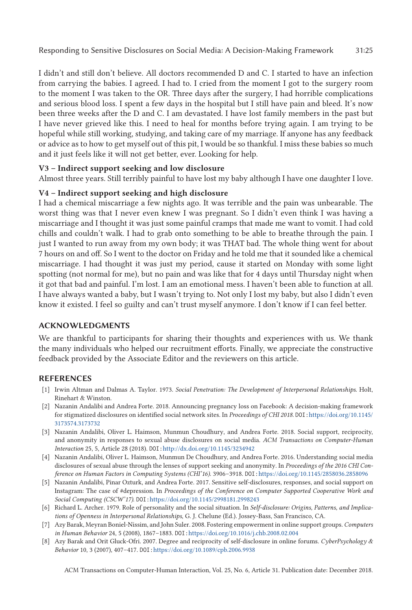<span id="page-24-0"></span>I didn't and still don't believe. All doctors recommended D and C. I started to have an infection from carrying the babies. I agreed. I had to. I cried from the moment I got to the surgery room to the moment I was taken to the OR. Three days after the surgery, I had horrible complications and serious blood loss. I spent a few days in the hospital but I still have pain and bleed. It's now been three weeks after the D and C. I am devastated. I have lost family members in the past but I have never grieved like this. I need to heal for months before trying again. I am trying to be hopeful while still working, studying, and taking care of my marriage. If anyone has any feedback or advice as to how to get myself out of this pit, I would be so thankful. I miss these babies so much and it just feels like it will not get better, ever. Looking for help.

# **V3 – Indirect support seeking and low disclosure**

Almost three years. Still terribly painful to have lost my baby although I have one daughter I love.

### **V4 – Indirect support seeking and high disclosure**

I had a chemical miscarriage a few nights ago. It was terrible and the pain was unbearable. The worst thing was that I never even knew I was pregnant. So I didn't even think I was having a miscarriage and I thought it was just some painful cramps that made me want to vomit. I had cold chills and couldn't walk. I had to grab onto something to be able to breathe through the pain. I just I wanted to run away from my own body; it was THAT bad. The whole thing went for about 7 hours on and off. So I went to the doctor on Friday and he told me that it sounded like a chemical miscarriage. I had thought it was just my period, cause it started on Monday with some light spotting (not normal for me), but no pain and was like that for 4 days until Thursday night when it got that bad and painful. I'm lost. I am an emotional mess. I haven't been able to function at all. I have always wanted a baby, but I wasn't trying to. Not only I lost my baby, but also I didn't even know it existed. I feel so guilty and can't trust myself anymore. I don't know if I can feel better.

# **ACKNOWLEDGMENTS**

We are thankful to participants for sharing their thoughts and experiences with us. We thank the many individuals who helped our recruitment efforts. Finally, we appreciate the constructive feedback provided by the Associate Editor and the reviewers on this article.

### **REFERENCES**

- [1] Irwin Altman and Dalmas A. Taylor. 1973. *Social Penetration: The Development of Interpersonal Relationships*. Holt, Rinehart & Winston.
- [2] Nazanin Andalibi and Andrea Forte. 2018. Announcing pregnancy loss on Facebook: A decision-making framework for stigmatized disclosures on identified social network sites. In *Proceedings of CHI 2018*. DOI:[https://doi.org/10.1145/](https://doi.org/10.1145/3173574.3173732) [3173574.3173732](https://doi.org/10.1145/3173574.3173732)
- [3] Nazanin Andalibi, Oliver L. Haimson, Munmun Choudhury, and Andrea Forte. 2018. Social support, reciprocity, and anonymity in responses to sexual abuse disclosures on social media. *ACM Transactions on Computer-Human Interaction* 25, 5, Article 28 (2018). DOI:<http://dx.doi.org/10.1145/3234942>
- [4] Nazanin Andalibi, Oliver L. Haimson, Munmun De Choudhury, and Andrea Forte. 2016. Understanding social media disclosures of sexual abuse through the lenses of support seeking and anonymity. In *Proceedings of the 2016 CHI Conference on Human Factors in Computing Systems (CHI'16)*. 3906–3918. DOI:<https://doi.org/10.1145/2858036.2858096>
- [5] Nazanin Andalibi, Pinar Ozturk, and Andrea Forte. 2017. Sensitive self-disclosures, responses, and social support on Instagram: The case of #depression. In *Proceedings of the Conference on Computer Supported Cooperative Work and Social Computing (CSCW'17)*. DOI:<https://doi.org/10.1145/2998181.2998243>
- [6] Richard L. Archer. 1979. Role of personality and the social situation. In *Self-disclosure: Origins, Patterns, and Implications of Openness in Interpersonal Relationships*, G. J. Chelune (Ed.). Jossey-Bass, San Francisco, CA.
- [7] Azy Barak, Meyran Boniel-Nissim, and John Suler. 2008. Fostering empowerment in online support groups. *Computers in Human Behavior* 24, 5 (2008), 1867–1883. DOI:<https://doi.org/10.1016/j.chb.2008.02.004>
- [8] Azy Barak and Orit Gluck-Ofri. 2007. Degree and reciprocity of self-disclosure in online forums. *CyberPsychology & Behavior* 10, 3 (2007), 407–417. DOI:<https://doi.org/10.1089/cpb.2006.9938>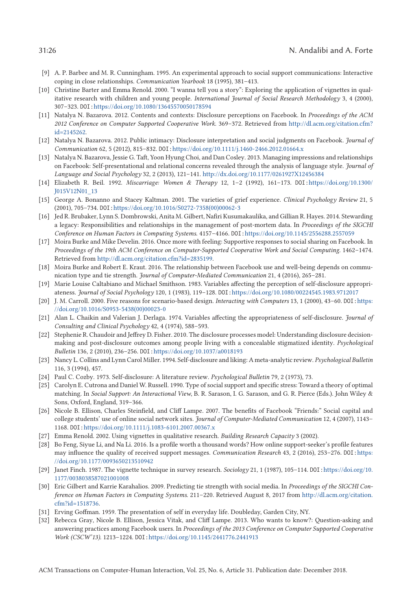- <span id="page-25-0"></span>[9] A. P. Barbee and M. R. Cunningham. 1995. An experimental approach to social support communications: Interactive coping in close relationships. *Communication Yearbook* 18 (1995), 381–413.
- [10] Christine Barter and Emma Renold. 2000. "I wanna tell you a story": Exploring the application of vignettes in qualitative research with children and young people. *International Journal of Social Research Methodology* 3, 4 (2000), 307–323. DOI:<https://doi.org/10.1080/13645570050178594>
- [11] Natalya N. Bazarova. 2012. Contents and contexts: Disclosure perceptions on Facebook. In *Proceedings of the ACM 2012 Conference on Computer Supported Cooperative Work*. 369–372. Retrieved from [http://dl.acm.org/citation.cfm?](http://dl.acm.org/citation.cfm?id=2145262) [id=2145262.](http://dl.acm.org/citation.cfm?id=2145262)
- [12] Natalya N. Bazarova. 2012. Public intimacy: Disclosure interpretation and social judgments on Facebook. *Journal of Communication* 62, 5 (2012), 815–832. DOI:<https://doi.org/10.1111/j.1460-2466.2012.01664.x>
- [13] Natalya N. Bazarova, Jessie G. Taft, Yoon Hyung Choi, and Dan Cosley. 2013. Managing impressions and relationships on Facebook: Self-presentational and relational concerns revealed through the analysis of language style. *Journal of Language and Social Psychology* 32, 2 (2013), 121–141. <http://dx.doi.org/10.1177/0261927X12456384>
- [14] Elizabeth R. Beil. 1992. *Miscarriage: Women & Therapy* 12, 1–2 (1992), 161–173. DOI:[https://doi.org/10.1300/](https://doi.org/10.1300/J015V12N01_13) [J015V12N01\\_13](https://doi.org/10.1300/J015V12N01_13)
- [15] George A. Bonanno and Stacey Kaltman. 2001. The varieties of grief experience. *Clinical Psychology Review* 21, 5 (2001), 705–734. DOI:[https://doi.org/10.1016/S0272-7358\(00\)00062-3](https://doi.org/10.1016/S0272-7358(00)00062-3)
- [16] Jed R. Brubaker, Lynn S. Dombrowski, Anita M. Gilbert, Nafiri Kusumakaulika, and Gillian R. Hayes. 2014. Stewarding a legacy: Responsibilities and relationships in the management of post-mortem data. In *Proceedings of the SIGCHI Conference on Human Factors in Computing Systems*. 4157–4166. DOI:<https://doi.org/10.1145/2556288.2557059>
- [17] Moira Burke and Mike Develin. 2016. Once more with feeling: Supportive responses to social sharing on Facebook. In *Proceedings of the 19th ACM Conference on Computer-Supported Cooperative Work and Social Computing*. 1462–1474. Retrieved from [http://dl.acm.org/citation.cfm?id=2835199.](http://dl.acm.org/citation.cfm?id=2835199)
- [18] Moira Burke and Robert E. Kraut. 2016. The relationship between Facebook use and well-being depends on communication type and tie strength. *Journal of Computer-Mediated Communication* 21, 4 (2016), 265–281.
- [19] Marie Louise Caltabiano and Michael Smithson. 1983. Variables affecting the perception of self-disclosure appropriateness. *Journal of Social Psychology* 120, 1 (1983), 119–128. DOI:<https://doi.org/10.1080/00224545.1983.9712017>
- [20] J. M. Carroll. 2000. Five reasons for scenario-based design. *Interacting with Computers* 13, 1 (2000), 43–60. DOI:[https:](https://doi.org/10.1016/S0953-5438(00)00023-0) [//doi.org/10.1016/S0953-5438\(00\)00023-0](https://doi.org/10.1016/S0953-5438(00)00023-0)
- [21] Alan L. Chaikin and Valerian J. Derlaga. 1974. Variables affecting the appropriateness of self-disclosure. *Journal of Consulting and Clinical Psychology* 42, 4 (1974), 588–593.
- [22] Stephenie R. Chaudoir and Jeffrey D. Fisher. 2010. The disclosure processes model: Understanding disclosure decisionmaking and post-disclosure outcomes among people living with a concealable stigmatized identity. *Psychological Bulletin* 136, 2 (2010), 236–256. DOI:<https://doi.org/10.1037/a0018193>
- [23] Nancy L. Collins and Lynn Carol Miller. 1994. Self-disclosure and liking: A meta-analytic review. *Psychological Bulletin* 116, 3 (1994), 457.
- [24] Paul C. Cozby. 1973. Self-disclosure: A literature review. *Psychological Bulletin* 79, 2 (1973), 73.
- [25] Carolyn E. Cutrona and Daniel W. Russell. 1990. Type of social support and specific stress: Toward a theory of optimal matching. In *Social Support: An Interactional View*, B. R. Sarason, I. G. Sarason, and G. R. Pierce (Eds.). John Wiley & Sons, Oxford, England, 319–366.
- [26] Nicole B. Ellison, Charles Steinfield, and Cliff Lampe. 2007. The benefits of Facebook "Friends:" Social capital and college students' use of online social network sites. *Journal of Computer-Mediated Communication* 12, 4 (2007), 1143– 1168. DOI:<https://doi.org/10.1111/j.1083-6101.2007.00367.x>
- [27] Emma Renold. 2002. Using vignettes in qualitative research. *Building Research Capacity* 3 (2002).
- [28] Bo Feng, Siyue Li, and Na Li. 2016. Is a profile worth a thousand words? How online support-seeker's profile features may influence the quality of received support messages. *Communication Research* 43, 2 (2016), 253–276. DOI:[https:](https://doi.org/10.1177/0093650213510942) [//doi.org/10.1177/0093650213510942](https://doi.org/10.1177/0093650213510942)
- [29] Janet Finch. 1987. The vignette technique in survey research. *Sociology* 21, 1 (1987), 105–114. DOI:[https://doi.org/10.](https://doi.org/10.1177/0038038587021001008) [1177/0038038587021001008](https://doi.org/10.1177/0038038587021001008)
- [30] Eric Gilbert and Karrie Karahalios. 2009. Predicting tie strength with social media. In *Proceedings of the SIGCHI Conference on Human Factors in Computing Systems*. 211–220. Retrieved August 8, 2017 from [http://dl.acm.org/citation.](http://dl.acm.org/citation.cfm?id=1518736) [cfm?id=1518736.](http://dl.acm.org/citation.cfm?id=1518736)
- [31] Erving Goffman. 1959. The presentation of self in everyday life. Doubleday, Garden City, NY.
- [32] Rebecca Gray, Nicole B. Ellison, Jessica Vitak, and Cliff Lampe. 2013. Who wants to know?: Question-asking and answering practices among Facebook users. In *Proceedings of the 2013 Conference on Computer Supported Cooperative Work (CSCW'13)*. 1213–1224. DOI:<https://doi.org/10.1145/2441776.2441913>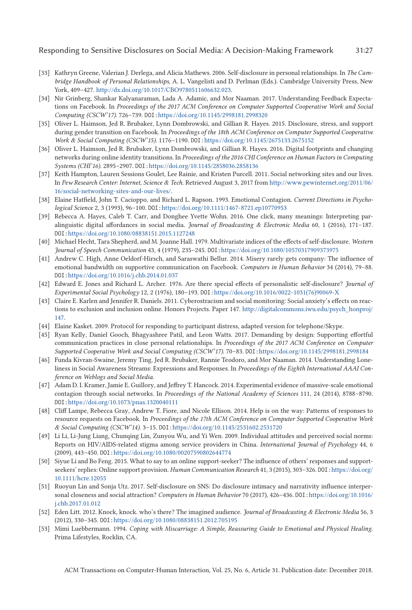### <span id="page-26-0"></span>Responding to Sensitive Disclosures on Social Media: A Decision-Making Framework 31:27

- [33] Kathryn Greene, Valerian J. Derlega, and Alicia Mathews. 2006. Self-disclosure in personal relationships. In *The Cambridge Handbook of Personal Relationships*, A. L. Vangelisti and D. Perlman (Eds.). Cambridge University Press, New York, 409–427. [http://dx.doi.org/10.1017/CBO9780511606632.023.](http://dx.doi.org/10.1017/CBO9780511606632.023)
- [34] Nir Grinberg, Shankar Kalyanaraman, Lada A. Adamic, and Mor Naaman. 2017. Understanding Feedback Expectations on Facebook. In *Proceedings of the 2017 ACM Conference on Computer Supported Cooperative Work and Social Computing (CSCW'17)*. 726–739. DOI:<https://doi.org/10.1145/2998181.2998320>
- [35] Oliver L. Haimson, Jed R. Brubaker, Lynn Dombrowski, and Gillian R. Hayes. 2015. Disclosure, stress, and support during gender transition on Facebook. In *Proceedings of the 18th ACM Conference on Computer Supported Cooperative Work & Social Computing (CSCW'15)*. 1176–1190. DOI:<https://doi.org/10.1145/2675133.2675152>
- [36] Oliver L. Haimson, Jed R. Brubaker, Lynn Dombrowski, and Gillian R. Hayes. 2016. Digital footprints and changing networks during online identity transitions. In *Proceedings of the 2016 CHI Conference on Human Factors in Computing Systems (CHI'16)*. 2895–2907. DOI:<https://doi.org/10.1145/2858036.2858136>
- [37] Keith Hampton, Lauren Sessions Goulet, Lee Rainie, and Kristen Purcell. 2011. Social networking sites and our lives. In *Pew Research Center: Internet, Science & Tech*. Retrieved August 3, 2017 from [http://www.pewinternet.org/2011/06/](http://www.pewinternet.org/2011/06/16/social-networking-sites-and-our-lives/) [16/social-networking-sites-and-our-lives/.](http://www.pewinternet.org/2011/06/16/social-networking-sites-and-our-lives/)
- [38] Elaine Hatfield, John T. Cacioppo, and Richard L. Rapson. 1993. Emotional Contagion. *Current Directions in Psychological Science* 2, 3 (1993), 96–100. DOI:<https://doi.org/10.1111/1467-8721.ep10770953>
- [39] Rebecca A. Hayes, Caleb T. Carr, and Donghee Yvette Wohn. 2016. One click, many meanings: Interpreting paralinguistic digital affordances in social media. *Journal of Broadcasting & Electronic Media* 60, 1 (2016), 171–187. DOI:<https://doi.org/10.1080/08838151.2015.1127248>
- [40] Michael Hecht, Tara Shepherd, and M. Joanne Hall. 1979. Multivariate indices of the effects of self-disclosure. *Western Journal of Speech Communication* 43, 4 (1979), 235–245. DOI:<https://doi.org/10.1080/10570317909373975>
- [41] Andrew C. High, Anne Oeldorf-Hirsch, and Saraswathi Bellur. 2014. Misery rarely gets company: The influence of emotional bandwidth on supportive communication on Facebook. *Computers in Human Behavior* 34 (2014), 79–88. DOI:<https://doi.org/10.1016/j.chb.2014.01.037>
- [42] Edward E. Jones and Richard L. Archer. 1976. Are there special effects of personalistic self-disclosure? *Journal of Experimental Social Psychology* 12, 2 (1976), 180–193. DOI:[https://doi.org/10.1016/0022-1031\(76\)90069-X](https://doi.org/10.1016/0022-1031(76)90069-X)
- [43] Claire E. Karlen and Jennifer R. Daniels. 2011. Cyberostracism and social monitoring: Social anxiety's effects on reactions to exclusion and inclusion online. Honors Projects. Paper 147. [http://digitalcommons.iwu.edu/psych\\_honproj/](http://digitalcommons.iwu.edu/psych_honproj/147) [147.](http://digitalcommons.iwu.edu/psych_honproj/147)
- [44] Elaine Kasket. 2009. Protocol for responding to participant distress, adapted version for telephone/Skype.
- [45] Ryan Kelly, Daniel Gooch, Bhagyashree Patil, and Leon Watts. 2017. Demanding by design: Supporting effortful communication practices in close personal relationships. In *Proceedings of the 2017 ACM Conference on Computer Supported Cooperative Work and Social Computing (CSCW'17)*. 70–83. DOI:<https://doi.org/10.1145/2998181.2998184>
- [46] Funda Kivran-Swaine, Jeremy Ting, Jed R. Brubaker, Rannie Teodoro, and Mor Naaman. 2014. Understanding Loneliness in Social Awareness Streams: Expressions and Responses. In *Proceedings of the Eighth International AAAI Conference on Weblogs and Social Media*.
- [47] Adam D. I. Kramer, Jamie E. Guillory, and Jeffrey T. Hancock. 2014. Experimental evidence of massive-scale emotional contagion through social networks. In *Proceedings of the National Academy of Sciences* 111, 24 (2014), 8788–8790. DOI:<https://doi.org/10.1073/pnas.1320040111>
- [48] Cliff Lampe, Rebecca Gray, Andrew T. Fiore, and Nicole Ellison. 2014. Help is on the way: Patterns of responses to resource requests on Facebook. In *Proceedings of the 17th ACM Conference on Computer Supported Cooperative Work & Social Computing (CSCW'14)*. 3–15. DOI:<https://doi.org/10.1145/2531602.2531720>
- [49] Li Li, Li-Jung Liang, Chunqing Lin, Zunyou Wu, and Yi Wen. 2009. Individual attitudes and perceived social norms: Reports on HIV/AIDS-related stigma among service providers in China. *International Journal of Psychology* 44, 6 (2009), 443–450. DOI:<https://doi.org/10.1080/00207590802644774>
- [50] Siyue Li and Bo Feng. 2015. What to say to an online support-seeker? The influence of others' responses and supportseekers' replies: Online support provision. *Human Communication Research* 41, 3 (2015), 303–326. DOI:[https://doi.org/](https://doi.org/10.1111/hcre.12055) [10.1111/hcre.12055](https://doi.org/10.1111/hcre.12055)
- [51] Ruoyun Lin and Sonja Utz. 2017. Self-disclosure on SNS: Do disclosure intimacy and narrativity influence interpersonal closeness and social attraction? *Computers in Human Behavior* 70 (2017), 426–436. DOI:[https://doi.org/10.1016/](https://doi.org/10.1016/j.chb.2017.01.012) [j.chb.2017.01.012](https://doi.org/10.1016/j.chb.2017.01.012)
- [52] Eden Litt. 2012. Knock, knock. who's there? The imagined audience. *Journal of Broadcasting & Electronic Media* 56, 3 (2012), 330–345. DOI:<https://doi.org/10.1080/08838151.2012.705195>
- [53] Mimi Luebbermann. 1994. *Coping with Miscarriage: A Simple, Reassuring Guide to Emotional and Physical Healing*. Prima Lifestyles, Rocklin, CA.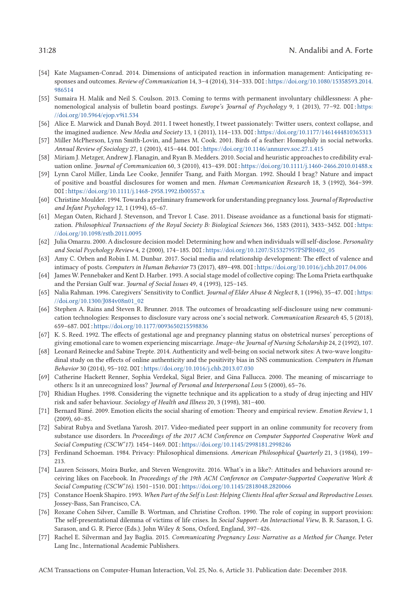### <span id="page-27-0"></span>31:28 N. Andalibi and A. Forte

- [54] Kate Magsamen-Conrad. 2014. Dimensions of anticipated reaction in information management: Anticipating responses and outcomes. *Review of Communication* 14, 3–4 (2014), 314–333. DOI:[https://doi.org/10.1080/15358593.2014.](https://doi.org/10.1080/15358593.2014.986514) [986514](https://doi.org/10.1080/15358593.2014.986514)
- [55] Sumaira H. Malik and Neil S. Coulson. 2013. Coming to terms with permanent involuntary childlessness: A phenomenological analysis of bulletin board postings. *Europe's Journal of Psychology* 9, 1 (2013), 77–92. DOI:[https:](https://doi.org/10.5964/ejop.v9i1.534) [//doi.org/10.5964/ejop.v9i1.534](https://doi.org/10.5964/ejop.v9i1.534)
- [56] Alice E. Marwick and Danah Boyd. 2011. I tweet honestly, I tweet passionately: Twitter users, context collapse, and the imagined audience. *New Media and Society* 13, 1 (2011), 114–133. DOI:<https://doi.org/10.1177/1461444810365313>
- [57] Miller McPherson, Lynn Smith-Lovin, and James M. Cook. 2001. Birds of a feather: Homophily in social networks. *Annual Review of Sociology* 27, 1 (2001), 415–444. DOI:<https://doi.org/10.1146/annurev.soc.27.1.415>
- [58] Miriam J. Metzger, Andrew J. Flanagin, and Ryan B. Medders. 2010. Social and heuristic approaches to credibility evaluation online. *Journal of Communication* 60, 3 (2010), 413–439. DOI:<https://doi.org/10.1111/j.1460-2466.2010.01488.x>
- [59] Lynn Carol Miller, Linda Lee Cooke, Jennifer Tsang, and Faith Morgan. 1992. Should I brag? Nature and impact of positive and boastful disclosures for women and men. *Human Communication Research* 18, 3 (1992), 364–399. DOI:<https://doi.org/10.1111/j.1468-2958.1992.tb00557.x>
- [60] Christine Moulder. 1994. Towards a preliminary framework for understanding pregnancy loss. *Journal of Reproductive and Infant Psychology* 12, 1 (1994), 65–67.
- [61] Megan Oaten, Richard J. Stevenson, and Trevor I. Case. 2011. Disease avoidance as a functional basis for stigmatization. *Philosophical Transactions of the Royal Society B: Biological Sciences* 366, 1583 (2011), 3433–3452. DOI:[https:](https://doi.org/10.1098/rstb.2011.0095) [//doi.org/10.1098/rstb.2011.0095](https://doi.org/10.1098/rstb.2011.0095)
- [62] Julia Omarzu. 2000. A disclosure decision model: Determining how and when individuals will self-disclose. *Personality and Social Psychology Review* 4, 2 (2000), 174–185. DOI:[https://doi.org/10.1207/S15327957PSPR0402\\_05](https://doi.org/10.1207/S15327957PSPR0402_05)
- [63] Amy C. Orben and Robin I. M. Dunbar. 2017. Social media and relationship development: The effect of valence and intimacy of posts. *Computers in Human Behavior* 73 (2017), 489–498. DOI:<https://doi.org/10.1016/j.chb.2017.04.006>
- [64] James W. Pennebaker and Kent D. Harber. 1993. A social stage model of collective coping: The Loma Prieta earthquake and the Persian Gulf war. *Journal of Social Issues* 49, 4 (1993), 125–145.
- [65] Nalia Rahman. 1996. Caregivers' Sensitivity to Conflict. *Journal of Elder Abuse & Neglect* 8, 1 (1996), 35–47. DOI:[https:](https://doi.org/10.1300/J084v08n01_02) [//doi.org/10.1300/J084v08n01\\_02](https://doi.org/10.1300/J084v08n01_02)
- [66] Stephen A. Rains and Steven R. Brunner. 2018. The outcomes of broadcasting self-disclosure using new communication technologies: Responses to disclosure vary across one's social network. *Communication Research* 45, 5 (2018), 659–687. DOI:<https://doi.org/10.1177/0093650215598836>
- [67] K. S. Reed. 1992. The effects of gestational age and pregnancy planning status on obstetrical nurses' perceptions of giving emotional care to women experiencing miscarriage. *Image–the Journal of Nursing Scholarship* 24, 2 (1992), 107.
- [68] Leonard Reinecke and Sabine Trepte. 2014. Authenticity and well-being on social network sites: A two-wave longitudinal study on the effects of online authenticity and the positivity bias in SNS communication. *Computers in Human Behavior* 30 (2014), 95–102. DOI:<https://doi.org/10.1016/j.chb.2013.07.030>
- [69] Catherine Hackett Renner, Sophia Verdekal, Sigal Brier, and Gina Fallucca. 2000. The meaning of miscarriage to others: Is it an unrecognized loss? *Journal of Personal and lnterpersonal Loss* 5 (2000), 65–76.
- [70] Rhidian Hughes. 1998. Considering the vignette technique and its application to a study of drug injecting and HIV risk and safer behaviour. *Sociology of Health and Illness* 20, 3 (1998), 381–400.
- [71] Bernard Rimé. 2009. Emotion elicits the social sharing of emotion: Theory and empirical review. *Emotion Review* 1, 1 (2009), 60–85.
- [72] Sabirat Rubya and Svetlana Yarosh. 2017. Video-mediated peer support in an online community for recovery from substance use disorders. In *Proceedings of the 2017 ACM Conference on Computer Supported Cooperative Work and Social Computing (CSCW'17)*. 1454–1469. DOI:<https://doi.org/10.1145/2998181.2998246>
- [73] Ferdinand Schoeman. 1984. Privacy: Philosophical dimensions. *American Philosophical Quarterly* 21, 3 (1984), 199– 213.
- [74] Lauren Scissors, Moira Burke, and Steven Wengrovitz. 2016. What's in a like?: Attitudes and behaviors around receiving likes on Facebook. In *Proceedings of the 19th ACM Conference on Computer-Supported Cooperative Work & Social Computing (CSCW'16)*. 1501–1510. DOI:<https://doi.org/10.1145/2818048.2820066>
- [75] Constance Hoenk Shapiro. 1993. *When Part of the Self is Lost: Helping Clients Heal after Sexual and Reproductive Losses*. Jossey-Bass, San Francisco, CA.
- [76] Roxane Cohen Silver, Camille B. Wortman, and Christine Crofton. 1990. The role of coping in support provision: The self-presentational dilemma of victims of life crises. In *Social Support: An Interactional View*, B. R. Sarason, I. G. Sarason, and G. R. Pierce (Eds.). John Wiley & Sons, Oxford, England, 397–426.
- [77] Rachel E. Silverman and Jay Baglia. 2015. *Communicating Pregnancy Loss: Narrative as a Method for Change*. Peter Lang Inc., International Academic Publishers.

ACM Transactions on Computer-Human Interaction, Vol. 25, No. 6, Article 31. Publication date: December 2018.